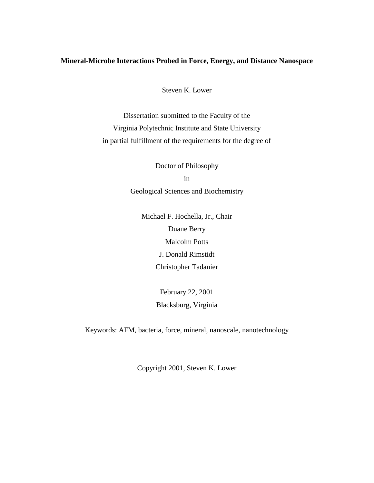### **Mineral-Microbe Interactions Probed in Force, Energy, and Distance Nanospace**

Steven K. Lower

Dissertation submitted to the Faculty of the Virginia Polytechnic Institute and State University in partial fulfillment of the requirements for the degree of

> Doctor of Philosophy in Geological Sciences and Biochemistry

Michael F. Hochella, Jr., Chair Duane Berry Malcolm Potts J. Donald Rimstidt Christopher Tadanier

> February 22, 2001 Blacksburg, Virginia

Keywords: AFM, bacteria, force, mineral, nanoscale, nanotechnology

Copyright 2001, Steven K. Lower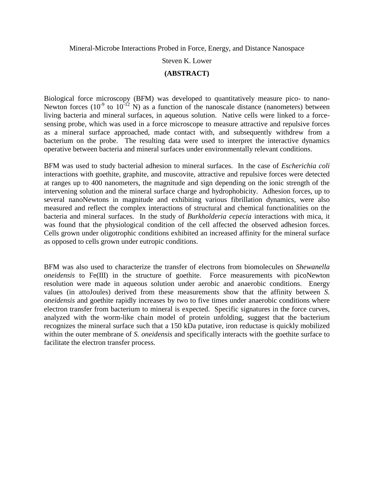Mineral-Microbe Interactions Probed in Force, Energy, and Distance Nanospace

Steven K. Lower

## **(ABSTRACT)**

Biological force microscopy (BFM) was developed to quantitatively measure pico- to nano-Newton forces  $(10^{-9}$  to  $10^{-12}$  N) as a function of the nanoscale distance (nanometers) between living bacteria and mineral surfaces, in aqueous solution. Native cells were linked to a forcesensing probe, which was used in a force microscope to measure attractive and repulsive forces as a mineral surface approached, made contact with, and subsequently withdrew from a bacterium on the probe. The resulting data were used to interpret the interactive dynamics operative between bacteria and mineral surfaces under environmentally relevant conditions.

BFM was used to study bacterial adhesion to mineral surfaces. In the case of *Escherichia coli*  interactions with goethite, graphite, and muscovite, attractive and repulsive forces were detected at ranges up to 400 nanometers, the magnitude and sign depending on the ionic strength of the intervening solution and the mineral surface charge and hydrophobicity. Adhesion forces, up to several nanoNewtons in magnitude and exhibiting various fibrillation dynamics, were also measured and reflect the complex interactions of structural and chemical functionalities on the bacteria and mineral surfaces. In the study of *Burkholderia cepecia* interactions with mica, it was found that the physiological condition of the cell affected the observed adhesion forces. Cells grown under oligotrophic conditions exhibited an increased affinity for the mineral surface as opposed to cells grown under eutropic conditions.

BFM was also used to characterize the transfer of electrons from biomolecules on *Shewanella oneidensis* to Fe(III) in the structure of goethite. Force measurements with picoNewton resolution were made in aqueous solution under aerobic and anaerobic conditions. Energy values (in attoJoules) derived from these measurements show that the affinity between *S. oneidensis* and goethite rapidly increases by two to five times under anaerobic conditions where electron transfer from bacterium to mineral is expected. Specific signatures in the force curves, analyzed with the worm-like chain model of protein unfolding, suggest that the bacterium recognizes the mineral surface such that a 150 kDa putative, iron reductase is quickly mobilized within the outer membrane of *S. oneidensis* and specifically interacts with the goethite surface to facilitate the electron transfer process.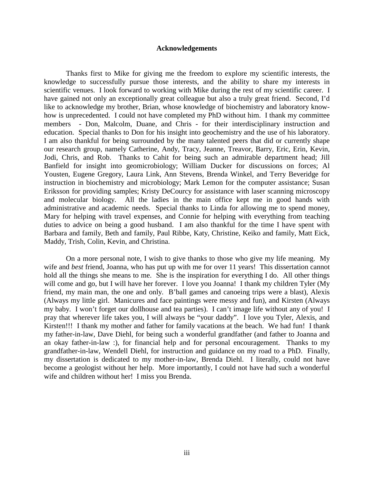#### **Acknowledgements**

Thanks first to Mike for giving me the freedom to explore my scientific interests, the knowledge to successfully pursue those interests, and the ability to share my interests in scientific venues. I look forward to working with Mike during the rest of my scientific career. I have gained not only an exceptionally great colleague but also a truly great friend. Second, I'd like to acknowledge my brother, Brian, whose knowledge of biochemistry and laboratory knowhow is unprecedented. I could not have completed my PhD without him. I thank my committee members - Don, Malcolm, Duane, and Chris - for their interdisciplinary instruction and education. Special thanks to Don for his insight into geochemistry and the use of his laboratory. I am also thankful for being surrounded by the many talented peers that did or currently shape our research group, namely Catherine, Andy, Tracy, Jeanne, Treavor, Barry, Eric, Erin, Kevin, Jodi, Chris, and Rob. Thanks to Cahit for being such an admirable department head; Jill Banfield for insight into geomicrobiology; William Ducker for discussions on forces; Al Yousten, Eugene Gregory, Laura Link, Ann Stevens, Brenda Winkel, and Terry Beveridge for instruction in biochemistry and microbiology; Mark Lemon for the computer assistance; Susan Eriksson for providing samples; Kristy DeCourcy for assistance with laser scanning microscopy and molecular biology. All the ladies in the main office kept me in good hands with administrative and academic needs. Special thanks to Linda for allowing me to spend money, Mary for helping with travel expenses, and Connie for helping with everything from teaching duties to advice on being a good husband. I am also thankful for the time I have spent with Barbara and family, Beth and family, Paul Ribbe, Katy, Christine, Keiko and family, Matt Eick, Maddy, Trish, Colin, Kevin, and Christina.

 On a more personal note, I wish to give thanks to those who give my life meaning. My wife and *best* friend, Joanna, who has put up with me for over 11 years! This dissertation cannot hold all the things she means to me. She is the inspiration for everything I do. All other things will come and go, but I will have her forever. I love you Joanna! I thank my children Tyler (My friend, my main man, the one and only. B'ball games and canoeing trips were a blast), Alexis (Always my little girl. Manicures and face paintings were messy and fun), and Kirsten (Always my baby. I won't forget our dollhouse and tea parties). I can't image life without any of you! I pray that wherever life takes you, I will always be "your daddy". I love you Tyler, Alexis, and Kirsten!!! I thank my mother and father for family vacations at the beach. We had fun! I thank my father-in-law, Dave Diehl, for being such a wonderful grandfather (and father to Joanna and an okay father-in-law :), for financial help and for personal encouragement. Thanks to my grandfather-in-law, Wendell Diehl, for instruction and guidance on my road to a PhD. Finally, my dissertation is dedicated to my mother-in-law, Brenda Diehl. I literally, could not have become a geologist without her help. More importantly, I could not have had such a wonderful wife and children without her! I miss you Brenda.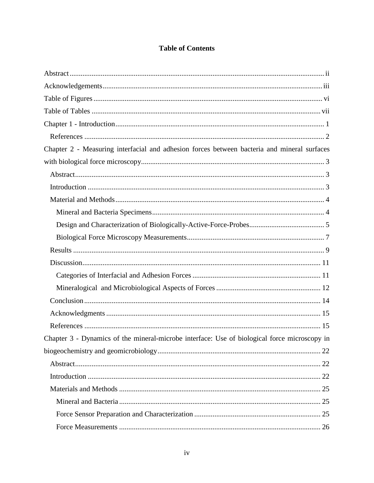## **Table of Contents**

| Chapter 2 - Measuring interfacial and adhesion forces between bacteria and mineral surfaces  |
|----------------------------------------------------------------------------------------------|
|                                                                                              |
|                                                                                              |
|                                                                                              |
|                                                                                              |
|                                                                                              |
|                                                                                              |
|                                                                                              |
|                                                                                              |
|                                                                                              |
|                                                                                              |
|                                                                                              |
|                                                                                              |
|                                                                                              |
|                                                                                              |
| Chapter 3 - Dynamics of the mineral-microbe interface: Use of biological force microscopy in |
| 22                                                                                           |
|                                                                                              |
|                                                                                              |
|                                                                                              |
|                                                                                              |
|                                                                                              |
|                                                                                              |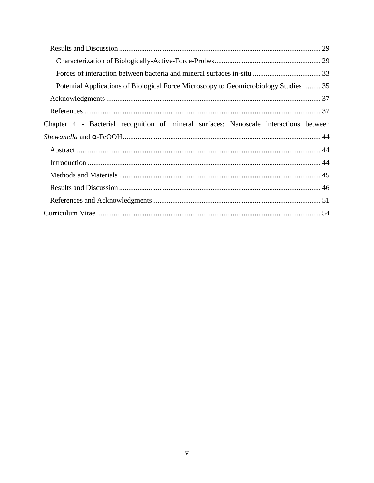| Potential Applications of Biological Force Microscopy to Geomicrobiology Studies 35   |  |
|---------------------------------------------------------------------------------------|--|
|                                                                                       |  |
|                                                                                       |  |
| Chapter 4 - Bacterial recognition of mineral surfaces: Nanoscale interactions between |  |
|                                                                                       |  |
|                                                                                       |  |
|                                                                                       |  |
|                                                                                       |  |
|                                                                                       |  |
|                                                                                       |  |
|                                                                                       |  |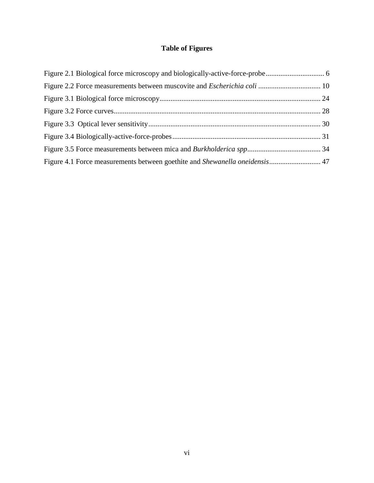# **Table of Figures**

| Figure 4.1 Force measurements between goethite and Shewanella oneidensis 47 |  |
|-----------------------------------------------------------------------------|--|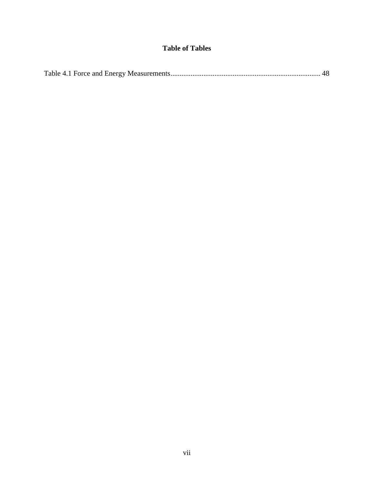## **Table of Tables**

|--|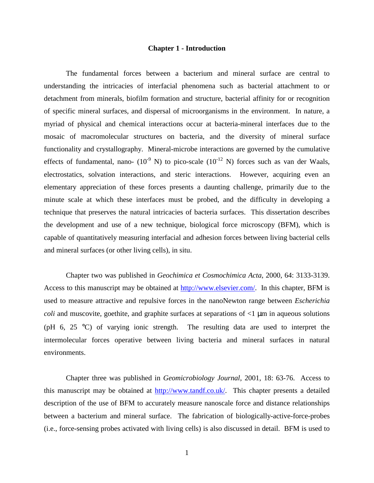### **Chapter 1 - Introduction**

The fundamental forces between a bacterium and mineral surface are central to understanding the intricacies of interfacial phenomena such as bacterial attachment to or detachment from minerals, biofilm formation and structure, bacterial affinity for or recognition of specific mineral surfaces, and dispersal of microorganisms in the environment. In nature, a myriad of physical and chemical interactions occur at bacteria-mineral interfaces due to the mosaic of macromolecular structures on bacteria, and the diversity of mineral surface functionality and crystallography. Mineral-microbe interactions are governed by the cumulative effects of fundamental, nano-  $(10^{-9}$  N) to pico-scale  $(10^{-12}$  N) forces such as van der Waals, electrostatics, solvation interactions, and steric interactions. However, acquiring even an elementary appreciation of these forces presents a daunting challenge, primarily due to the minute scale at which these interfaces must be probed, and the difficulty in developing a technique that preserves the natural intricacies of bacteria surfaces. This dissertation describes the development and use of a new technique, biological force microscopy (BFM), which is capable of quantitatively measuring interfacial and adhesion forces between living bacterial cells and mineral surfaces (or other living cells), in situ.

Chapter two was published in *Geochimica et Cosmochimica Acta*, 2000, 64: 3133-3139. Access to this manuscript may be obtained at [http://www.elsevier.com/.](http://www.elsevier.com/) In this chapter, BFM is used to measure attractive and repulsive forces in the nanoNewton range between *Escherichia coli* and muscovite, goethite, and graphite surfaces at separations of  $\langle 1 \rangle$   $\mu$ m in aqueous solutions (pH 6, 25 °C) of varying ionic strength. The resulting data are used to interpret the intermolecular forces operative between living bacteria and mineral surfaces in natural environments.

Chapter three was published in *Geomicrobiology Journal*, 2001, 18: 63-76. Access to this manuscript may be obtained at [http://www.tandf.co.uk/.](http://www.tandf.co.uk/) This chapter presents a detailed description of the use of BFM to accurately measure nanoscale force and distance relationships between a bacterium and mineral surface. The fabrication of biologically-active-force-probes (i.e., force-sensing probes activated with living cells) is also discussed in detail. BFM is used to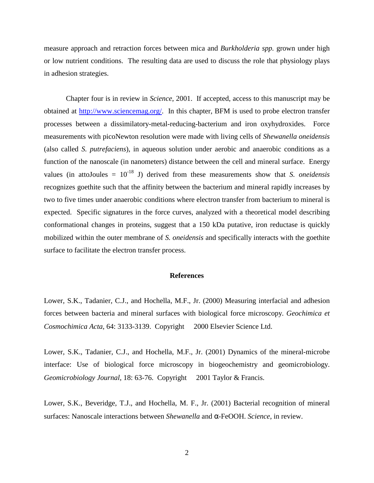measure approach and retraction forces between mica and *Burkholderia spp.* grown under high or low nutrient conditions. The resulting data are used to discuss the role that physiology plays in adhesion strategies.

Chapter four is in review in *Science*, 2001. If accepted, access to this manuscript may be obtained at [http://www.sciencemag.org/.](http://www.sciencemag.org/) In this chapter, BFM is used to probe electron transfer processes between a dissimilatory-metal-reducing-bacterium and iron oxyhydroxides. Force measurements with picoNewton resolution were made with living cells of *Shewanella oneidensis*  (also called *S. putrefaciens*), in aqueous solution under aerobic and anaerobic conditions as a function of the nanoscale (in nanometers) distance between the cell and mineral surface. Energy values (in attoJoules =  $10^{-18}$  J) derived from these measurements show that *S. oneidensis* recognizes goethite such that the affinity between the bacterium and mineral rapidly increases by two to five times under anaerobic conditions where electron transfer from bacterium to mineral is expected. Specific signatures in the force curves, analyzed with a theoretical model describing conformational changes in proteins, suggest that a 150 kDa putative, iron reductase is quickly mobilized within the outer membrane of *S. oneidensis* and specifically interacts with the goethite surface to facilitate the electron transfer process.

#### **References**

Lower, S.K., Tadanier, C.J., and Hochella, M.F., Jr. (2000) Measuring interfacial and adhesion forces between bacteria and mineral surfaces with biological force microscopy. *Geochimica et Cosmochimica Acta*, 64: 3133-3139. Copyright © 2000 Elsevier Science Ltd.

Lower, S.K., Tadanier, C.J., and Hochella, M.F., Jr. (2001) Dynamics of the mineral-microbe interface: Use of biological force microscopy in biogeochemistry and geomicrobiology. *Geomicrobiology Journal*, 18: 63-76. Copyright © 2001 Taylor & Francis.

Lower, S.K., Beveridge, T.J., and Hochella, M. F., Jr. (2001) Bacterial recognition of mineral surfaces: Nanoscale interactions between *Shewanella* and α-FeOOH. *Science*, in review.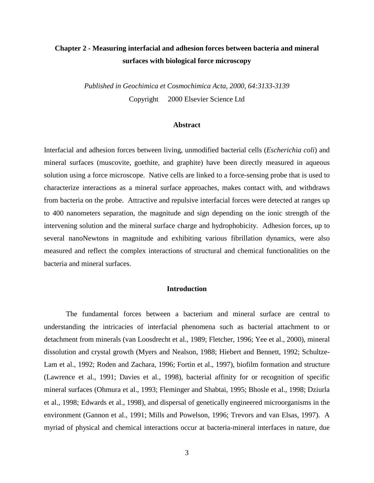## **Chapter 2 - Measuring interfacial and adhesion forces between bacteria and mineral surfaces with biological force microscopy**

*Published in Geochimica et Cosmochimica Acta, 2000, 64:3133-3139* Copyright © 2000 Elsevier Science Ltd

#### **Abstract**

Interfacial and adhesion forces between living, unmodified bacterial cells (*Escherichia coli*) and mineral surfaces (muscovite, goethite, and graphite) have been directly measured in aqueous solution using a force microscope. Native cells are linked to a force-sensing probe that is used to characterize interactions as a mineral surface approaches, makes contact with, and withdraws from bacteria on the probe. Attractive and repulsive interfacial forces were detected at ranges up to 400 nanometers separation, the magnitude and sign depending on the ionic strength of the intervening solution and the mineral surface charge and hydrophobicity. Adhesion forces, up to several nanoNewtons in magnitude and exhibiting various fibrillation dynamics, were also measured and reflect the complex interactions of structural and chemical functionalities on the bacteria and mineral surfaces.

#### **Introduction**

The fundamental forces between a bacterium and mineral surface are central to understanding the intricacies of interfacial phenomena such as bacterial attachment to or detachment from minerals (van Loosdrecht et al., 1989; Fletcher, 1996; Yee et al., 2000), mineral dissolution and crystal growth (Myers and Nealson, 1988; Hiebert and Bennett, 1992; Schultze-Lam et al., 1992; Roden and Zachara, 1996; Fortin et al., 1997), biofilm formation and structure (Lawrence et al., 1991; Davies et al., 1998), bacterial affinity for or recognition of specific mineral surfaces (Ohmura et al., 1993; Fleminger and Shabtai, 1995; Bhosle et al., 1998; Dziurla et al., 1998; Edwards et al., 1998), and dispersal of genetically engineered microorganisms in the environment (Gannon et al., 1991; Mills and Powelson, 1996; Trevors and van Elsas, 1997). A myriad of physical and chemical interactions occur at bacteria-mineral interfaces in nature, due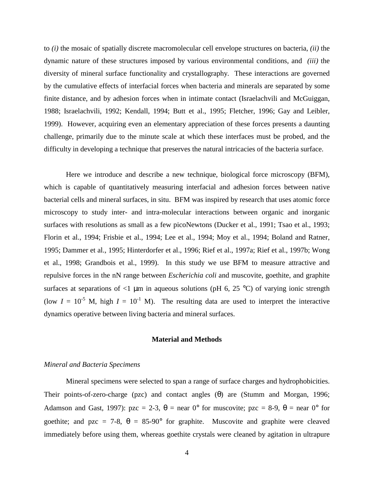to *(i)* the mosaic of spatially discrete macromolecular cell envelope structures on bacteria, *(ii)* the dynamic nature of these structures imposed by various environmental conditions, and *(iii)* the diversity of mineral surface functionality and crystallography. These interactions are governed by the cumulative effects of interfacial forces when bacteria and minerals are separated by some finite distance, and by adhesion forces when in intimate contact (Israelachvili and McGuiggan, 1988; Israelachvili, 1992; Kendall, 1994; Butt et al., 1995; Fletcher, 1996; Gay and Leibler, 1999). However, acquiring even an elementary appreciation of these forces presents a daunting challenge, primarily due to the minute scale at which these interfaces must be probed, and the difficulty in developing a technique that preserves the natural intricacies of the bacteria surface.

Here we introduce and describe a new technique, biological force microscopy (BFM), which is capable of quantitatively measuring interfacial and adhesion forces between native bacterial cells and mineral surfaces, in situ. BFM was inspired by research that uses atomic force microscopy to study inter- and intra-molecular interactions between organic and inorganic surfaces with resolutions as small as a few picoNewtons (Ducker et al., 1991; Tsao et al., 1993; Florin et al., 1994; Frisbie et al., 1994; Lee et al., 1994; Moy et al., 1994; Boland and Ratner, 1995; Dammer et al., 1995; Hinterdorfer et al., 1996; Rief et al., 1997a; Rief et al., 1997b; Wong et al., 1998; Grandbois et al., 1999). In this study we use BFM to measure attractive and repulsive forces in the nN range between *Escherichia coli* and muscovite, goethite, and graphite surfaces at separations of  $\leq 1$  µm in aqueous solutions (pH 6, 25 °C) of varying ionic strength (low  $I = 10^{-5}$  M, high  $I = 10^{-1}$  M). The resulting data are used to interpret the interactive dynamics operative between living bacteria and mineral surfaces.

#### **Material and Methods**

#### *Mineral and Bacteria Specimens*

Mineral specimens were selected to span a range of surface charges and hydrophobicities. Their points-of-zero-charge (pzc) and contact angles (θ) are (Stumm and Morgan, 1996; Adamson and Gast, 1997): pzc = 2-3,  $\theta$  = near 0° for muscovite; pzc = 8-9,  $\theta$  = near 0° for goethite; and pzc = 7-8,  $\theta = 85{\cdot}90^{\circ}$  for graphite. Muscovite and graphite were cleaved immediately before using them, whereas goethite crystals were cleaned by agitation in ultrapure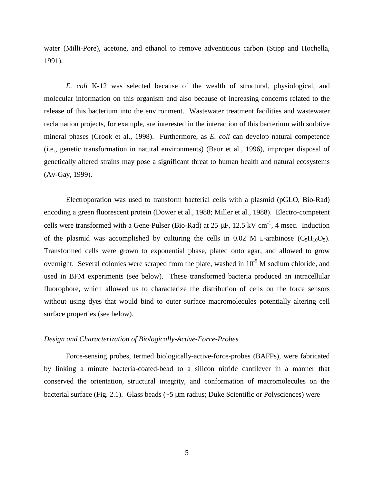water (Milli-Pore), acetone, and ethanol to remove adventitious carbon (Stipp and Hochella, 1991).

*E. coli* K-12 was selected because of the wealth of structural, physiological, and molecular information on this organism and also because of increasing concerns related to the release of this bacterium into the environment. Wastewater treatment facilities and wastewater reclamation projects, for example, are interested in the interaction of this bacterium with sorbtive mineral phases (Crook et al., 1998). Furthermore, as *E. coli* can develop natural competence (i.e., genetic transformation in natural environments) (Baur et al., 1996), improper disposal of genetically altered strains may pose a significant threat to human health and natural ecosystems (Av-Gay, 1999).

Electroporation was used to transform bacterial cells with a plasmid (pGLO, Bio-Rad) encoding a green fluorescent protein (Dower et al., 1988; Miller et al., 1988). Electro-competent cells were transformed with a Gene-Pulser (Bio-Rad) at  $25 \mu$ F,  $12.5 \text{ kV cm}^{-1}$ , 4 msec. Induction of the plasmid was accomplished by culturing the cells in 0.02 M L-arabinose  $(C_5H_{10}O_5)$ . Transformed cells were grown to exponential phase, plated onto agar, and allowed to grow overnight. Several colonies were scraped from the plate, washed in  $10^{-5}$  M sodium chloride, and used in BFM experiments (see below). These transformed bacteria produced an intracellular fluorophore, which allowed us to characterize the distribution of cells on the force sensors without using dyes that would bind to outer surface macromolecules potentially altering cell surface properties (see below).

#### *Design and Characterization of Biologically-Active-Force-Probes*

 Force-sensing probes, termed biologically-active-force-probes (BAFPs), were fabricated by linking a minute bacteria-coated-bead to a silicon nitride cantilever in a manner that conserved the orientation, structural integrity, and conformation of macromolecules on the bacterial surface (Fig. 2.1). Glass beads  $\sim$  5  $\mu$ m radius; Duke Scientific or Polysciences) were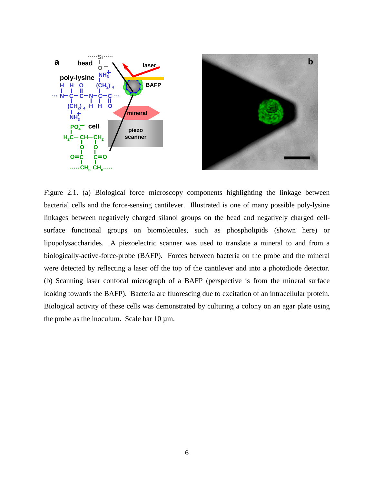



Figure 2.1. (a) Biological force microscopy components highlighting the linkage between bacterial cells and the force-sensing cantilever. Illustrated is one of many possible poly-lysine linkages between negatively charged silanol groups on the bead and negatively charged cellsurface functional groups on biomolecules, such as phospholipids (shown here) or lipopolysaccharides. A piezoelectric scanner was used to translate a mineral to and from a biologically-active-force-probe (BAFP). Forces between bacteria on the probe and the mineral were detected by reflecting a laser off the top of the cantilever and into a photodiode detector. (b) Scanning laser confocal micrograph of a BAFP (perspective is from the mineral surface looking towards the BAFP). Bacteria are fluorescing due to excitation of an intracellular protein. Biological activity of these cells was demonstrated by culturing a colony on an agar plate using the probe as the inoculum. Scale bar  $10 \mu$ m.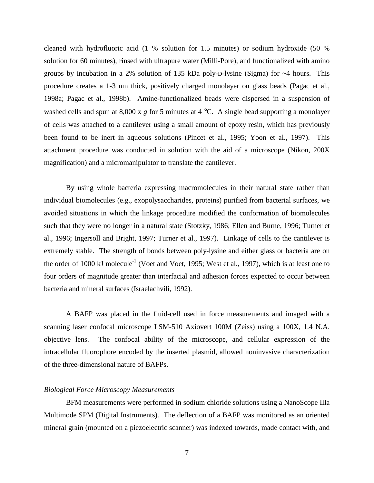cleaned with hydrofluoric acid (1 % solution for 1.5 minutes) or sodium hydroxide (50 % solution for 60 minutes), rinsed with ultrapure water (Milli-Pore), and functionalized with amino groups by incubation in a 2% solution of 135 kDa poly-D-lysine (Sigma) for ~4 hours. This procedure creates a 1-3 nm thick, positively charged monolayer on glass beads (Pagac et al., 1998a; Pagac et al., 1998b). Amine-functionalized beads were dispersed in a suspension of washed cells and spun at 8,000 x *g* for 5 minutes at 4 °C. A single bead supporting a monolayer of cells was attached to a cantilever using a small amount of epoxy resin, which has previously been found to be inert in aqueous solutions (Pincet et al., 1995; Yoon et al., 1997). This attachment procedure was conducted in solution with the aid of a microscope (Nikon, 200X magnification) and a micromanipulator to translate the cantilever.

By using whole bacteria expressing macromolecules in their natural state rather than individual biomolecules (e.g., exopolysaccharides, proteins) purified from bacterial surfaces, we avoided situations in which the linkage procedure modified the conformation of biomolecules such that they were no longer in a natural state (Stotzky, 1986; Ellen and Burne, 1996; Turner et al., 1996; Ingersoll and Bright, 1997; Turner et al., 1997). Linkage of cells to the cantilever is extremely stable. The strength of bonds between poly-lysine and either glass or bacteria are on the order of 1000 kJ molecule<sup>-1</sup> (Voet and Voet, 1995; West et al., 1997), which is at least one to four orders of magnitude greater than interfacial and adhesion forces expected to occur between bacteria and mineral surfaces (Israelachvili, 1992).

A BAFP was placed in the fluid-cell used in force measurements and imaged with a scanning laser confocal microscope LSM-510 Axiovert 100M (Zeiss) using a 100X, 1.4 N.A. objective lens. The confocal ability of the microscope, and cellular expression of the intracellular fluorophore encoded by the inserted plasmid, allowed noninvasive characterization of the three-dimensional nature of BAFPs.

#### *Biological Force Microscopy Measurements*

BFM measurements were performed in sodium chloride solutions using a NanoScope IIIa Multimode SPM (Digital Instruments). The deflection of a BAFP was monitored as an oriented mineral grain (mounted on a piezoelectric scanner) was indexed towards, made contact with, and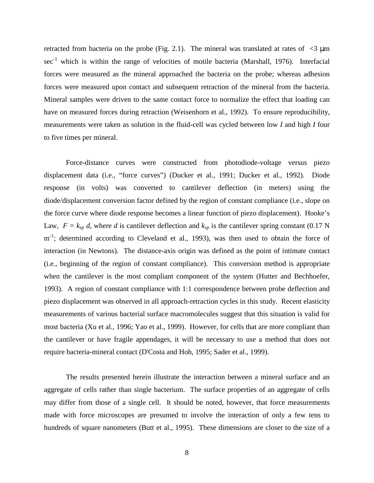retracted from bacteria on the probe (Fig. 2.1). The mineral was translated at rates of  $\langle 3 \rangle$  µm sec<sup>-1</sup> which is within the range of velocities of motile bacteria (Marshall, 1976). Interfacial forces were measured as the mineral approached the bacteria on the probe; whereas adhesion forces were measured upon contact and subsequent retraction of the mineral from the bacteria. Mineral samples were driven to the same contact force to normalize the effect that loading can have on measured forces during retraction (Weisenhorn et al., 1992). To ensure reproducibility, measurements were taken as solution in the fluid-cell was cycled between low *I* and high *I* four to five times per mineral.

Force-distance curves were constructed from photodiode-voltage versus piezo displacement data (i.e., "force curves") (Ducker et al., 1991; Ducker et al., 1992). Diode response (in volts) was converted to cantilever deflection (in meters) using the diode/displacement conversion factor defined by the region of constant compliance (i.e., slope on the force curve where diode response becomes a linear function of piezo displacement). Hooke's Law,  $F = k_{sp} d$ , where *d* is cantilever deflection and  $k_{sp}$  is the cantilever spring constant (0.17 N m<sup>-1</sup>; determined according to Cleveland et al., 1993), was then used to obtain the force of interaction (in Newtons). The distance-axis origin was defined as the point of intimate contact (i.e., beginning of the region of constant compliance). This conversion method is appropriate when the cantilever is the most compliant component of the system (Hutter and Bechhoefer, 1993). A region of constant compliance with 1:1 correspondence between probe deflection and piezo displacement was observed in all approach-retraction cycles in this study. Recent elasticity measurements of various bacterial surface macromolecules suggest that this situation is valid for most bacteria (Xu et al., 1996; Yao et al., 1999). However, for cells that are more compliant than the cantilever or have fragile appendages, it will be necessary to use a method that does not require bacteria-mineral contact (D'Costa and Hoh, 1995; Sader et al., 1999).

The results presented herein illustrate the interaction between a mineral surface and an aggregate of cells rather than single bacterium. The surface properties of an aggregate of cells may differ from those of a single cell. It should be noted, however, that force measurements made with force microscopes are presumed to involve the interaction of only a few tens to hundreds of square nanometers (Butt et al., 1995). These dimensions are closer to the size of a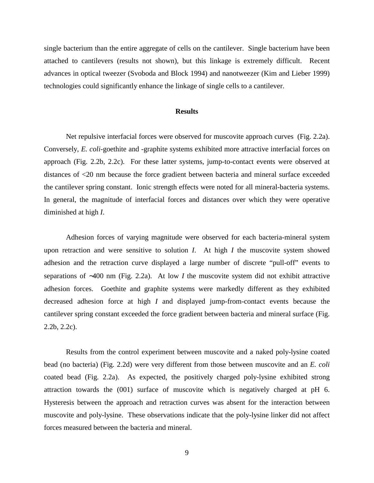single bacterium than the entire aggregate of cells on the cantilever. Single bacterium have been attached to cantilevers (results not shown), but this linkage is extremely difficult. Recent advances in optical tweezer (Svoboda and Block 1994) and nanotweezer (Kim and Lieber 1999) technologies could significantly enhance the linkage of single cells to a cantilever.

#### **Results**

Net repulsive interfacial forces were observed for muscovite approach curves (Fig. 2.2a). Conversely, *E. coli*-goethite and -graphite systems exhibited more attractive interfacial forces on approach (Fig. 2.2b, 2.2c). For these latter systems, jump-to-contact events were observed at distances of <20 nm because the force gradient between bacteria and mineral surface exceeded the cantilever spring constant. Ionic strength effects were noted for all mineral-bacteria systems. In general, the magnitude of interfacial forces and distances over which they were operative diminished at high *I*.

Adhesion forces of varying magnitude were observed for each bacteria-mineral system upon retraction and were sensitive to solution *I*. At high *I* the muscovite system showed adhesion and the retraction curve displayed a large number of discrete "pull-off" events to separations of ∼400 nm (Fig. 2.2a). At low *I* the muscovite system did not exhibit attractive adhesion forces. Goethite and graphite systems were markedly different as they exhibited decreased adhesion force at high *I* and displayed jump-from-contact events because the cantilever spring constant exceeded the force gradient between bacteria and mineral surface (Fig. 2.2b, 2.2c).

Results from the control experiment between muscovite and a naked poly-lysine coated bead (no bacteria) (Fig. 2.2d) were very different from those between muscovite and an *E. coli* coated bead (Fig. 2.2a). As expected, the positively charged poly-lysine exhibited strong attraction towards the (001) surface of muscovite which is negatively charged at pH 6. Hysteresis between the approach and retraction curves was absent for the interaction between muscovite and poly-lysine. These observations indicate that the poly-lysine linker did not affect forces measured between the bacteria and mineral.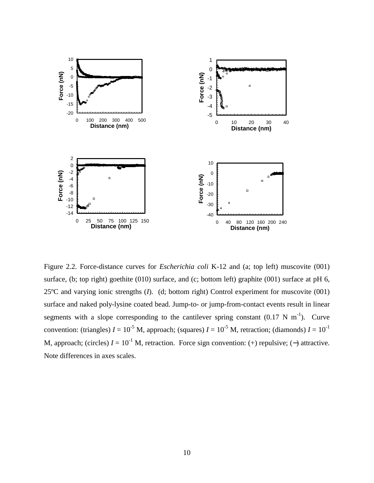

Figure 2.2. Force-distance curves for *Escherichia coli* K-12 and (a; top left) muscovite (001) surface, (b; top right) goethite (010) surface, and (c; bottom left) graphite (001) surface at pH 6, 25ºC and varying ionic strengths (*I*). (d; bottom right) Control experiment for muscovite (001) surface and naked poly-lysine coated bead. Jump-to- or jump-from-contact events result in linear segments with a slope corresponding to the cantilever spring constant  $(0.17 \text{ N m}^{-1})$ . Curve convention: (triangles)  $I = 10^{-5}$  M, approach; (squares)  $I = 10^{-5}$  M, retraction; (diamonds)  $I = 10^{-1}$ M, approach; (circles)  $I = 10^{-1}$  M, retraction. Force sign convention: (+) repulsive; (-) attractive. Note differences in axes scales.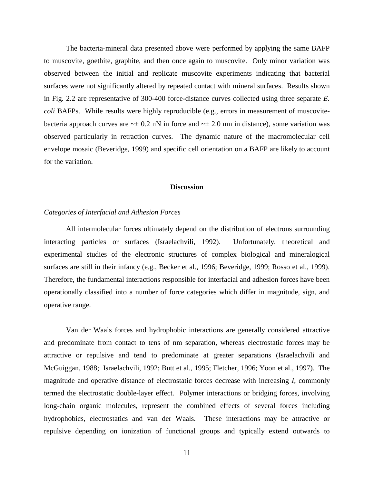The bacteria-mineral data presented above were performed by applying the same BAFP to muscovite, goethite, graphite, and then once again to muscovite. Only minor variation was observed between the initial and replicate muscovite experiments indicating that bacterial surfaces were not significantly altered by repeated contact with mineral surfaces. Results shown in Fig. 2.2 are representative of 300-400 force-distance curves collected using three separate *E. coli* BAFPs. While results were highly reproducible (e.g., errors in measurement of muscovitebacteria approach curves are  $\sim \pm 0.2$  nN in force and  $\sim \pm 2.0$  nm in distance), some variation was observed particularly in retraction curves. The dynamic nature of the macromolecular cell envelope mosaic (Beveridge, 1999) and specific cell orientation on a BAFP are likely to account for the variation.

#### **Discussion**

#### *Categories of Interfacial and Adhesion Forces*

All intermolecular forces ultimately depend on the distribution of electrons surrounding interacting particles or surfaces (Israelachvili, 1992). Unfortunately, theoretical and experimental studies of the electronic structures of complex biological and mineralogical surfaces are still in their infancy (e.g., Becker et al., 1996; Beveridge, 1999; Rosso et al., 1999). Therefore, the fundamental interactions responsible for interfacial and adhesion forces have been operationally classified into a number of force categories which differ in magnitude, sign, and operative range.

Van der Waals forces and hydrophobic interactions are generally considered attractive and predominate from contact to tens of nm separation, whereas electrostatic forces may be attractive or repulsive and tend to predominate at greater separations (Israelachvili and McGuiggan, 1988; Israelachvili, 1992; Butt et al., 1995; Fletcher, 1996; Yoon et al., 1997). The magnitude and operative distance of electrostatic forces decrease with increasing *I*, commonly termed the electrostatic double-layer effect. Polymer interactions or bridging forces, involving long-chain organic molecules, represent the combined effects of several forces including hydrophobics, electrostatics and van der Waals. These interactions may be attractive or repulsive depending on ionization of functional groups and typically extend outwards to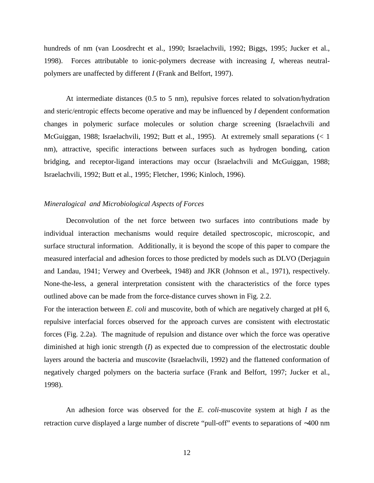hundreds of nm (van Loosdrecht et al., 1990; Israelachvili, 1992; Biggs, 1995; Jucker et al., 1998). Forces attributable to ionic-polymers decrease with increasing *I*, whereas neutralpolymers are unaffected by different *I* (Frank and Belfort, 1997).

At intermediate distances (0.5 to 5 nm), repulsive forces related to solvation/hydration and steric/entropic effects become operative and may be influenced by *I* dependent conformation changes in polymeric surface molecules or solution charge screening (Israelachvili and McGuiggan, 1988; Israelachvili, 1992; Butt et al., 1995). At extremely small separations (< 1 nm), attractive, specific interactions between surfaces such as hydrogen bonding, cation bridging, and receptor-ligand interactions may occur (Israelachvili and McGuiggan, 1988; Israelachvili, 1992; Butt et al., 1995; Fletcher, 1996; Kinloch, 1996).

#### *Mineralogical and Microbiological Aspects of Forces*

Deconvolution of the net force between two surfaces into contributions made by individual interaction mechanisms would require detailed spectroscopic, microscopic, and surface structural information. Additionally, it is beyond the scope of this paper to compare the measured interfacial and adhesion forces to those predicted by models such as DLVO (Derjaguin and Landau, 1941; Verwey and Overbeek, 1948) and JKR (Johnson et al., 1971), respectively. None-the-less, a general interpretation consistent with the characteristics of the force types outlined above can be made from the force-distance curves shown in Fig. 2.2.

For the interaction between *E. coli* and muscovite, both of which are negatively charged at pH 6, repulsive interfacial forces observed for the approach curves are consistent with electrostatic forces (Fig. 2.2a). The magnitude of repulsion and distance over which the force was operative diminished at high ionic strength (*I*) as expected due to compression of the electrostatic double layers around the bacteria and muscovite (Israelachvili, 1992) and the flattened conformation of negatively charged polymers on the bacteria surface (Frank and Belfort, 1997; Jucker et al., 1998).

An adhesion force was observed for the *E. coli*-muscovite system at high *I* as the retraction curve displayed a large number of discrete "pull-off" events to separations of ∼400 nm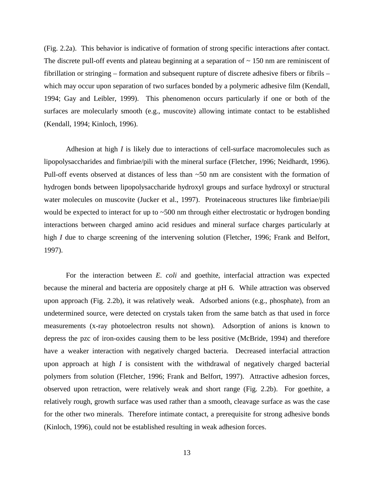(Fig. 2.2a). This behavior is indicative of formation of strong specific interactions after contact. The discrete pull-off events and plateau beginning at a separation of  $\sim$  150 nm are reminiscent of fibrillation or stringing – formation and subsequent rupture of discrete adhesive fibers or fibrils – which may occur upon separation of two surfaces bonded by a polymeric adhesive film (Kendall, 1994; Gay and Leibler, 1999). This phenomenon occurs particularly if one or both of the surfaces are molecularly smooth (e.g., muscovite) allowing intimate contact to be established (Kendall, 1994; Kinloch, 1996).

Adhesion at high *I* is likely due to interactions of cell-surface macromolecules such as lipopolysaccharides and fimbriae/pili with the mineral surface (Fletcher, 1996; Neidhardt, 1996). Pull-off events observed at distances of less than  $\sim 50$  nm are consistent with the formation of hydrogen bonds between lipopolysaccharide hydroxyl groups and surface hydroxyl or structural water molecules on muscovite (Jucker et al., 1997). Proteinaceous structures like fimbriae/pili would be expected to interact for up to  $\sim$  500 nm through either electrostatic or hydrogen bonding interactions between charged amino acid residues and mineral surface charges particularly at high *I* due to charge screening of the intervening solution (Fletcher, 1996; Frank and Belfort, 1997).

For the interaction between *E. coli* and goethite, interfacial attraction was expected because the mineral and bacteria are oppositely charge at pH 6. While attraction was observed upon approach (Fig. 2.2b), it was relatively weak. Adsorbed anions (e.g., phosphate), from an undetermined source, were detected on crystals taken from the same batch as that used in force measurements (x-ray photoelectron results not shown). Adsorption of anions is known to depress the pzc of iron-oxides causing them to be less positive (McBride, 1994) and therefore have a weaker interaction with negatively charged bacteria. Decreased interfacial attraction upon approach at high *I* is consistent with the withdrawal of negatively charged bacterial polymers from solution (Fletcher, 1996; Frank and Belfort, 1997). Attractive adhesion forces, observed upon retraction, were relatively weak and short range (Fig. 2.2b). For goethite, a relatively rough, growth surface was used rather than a smooth, cleavage surface as was the case for the other two minerals. Therefore intimate contact, a prerequisite for strong adhesive bonds (Kinloch, 1996), could not be established resulting in weak adhesion forces.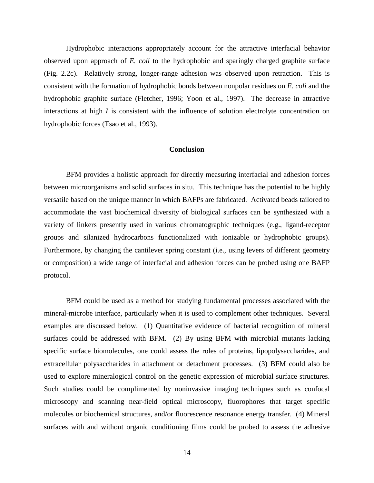Hydrophobic interactions appropriately account for the attractive interfacial behavior observed upon approach of *E. coli* to the hydrophobic and sparingly charged graphite surface (Fig. 2.2c). Relatively strong, longer-range adhesion was observed upon retraction. This is consistent with the formation of hydrophobic bonds between nonpolar residues on *E. coli* and the hydrophobic graphite surface (Fletcher, 1996; Yoon et al., 1997). The decrease in attractive interactions at high *I* is consistent with the influence of solution electrolyte concentration on hydrophobic forces (Tsao et al., 1993).

#### **Conclusion**

BFM provides a holistic approach for directly measuring interfacial and adhesion forces between microorganisms and solid surfaces in situ. This technique has the potential to be highly versatile based on the unique manner in which BAFPs are fabricated. Activated beads tailored to accommodate the vast biochemical diversity of biological surfaces can be synthesized with a variety of linkers presently used in various chromatographic techniques (e.g., ligand-receptor groups and silanized hydrocarbons functionalized with ionizable or hydrophobic groups). Furthermore, by changing the cantilever spring constant (i.e., using levers of different geometry or composition) a wide range of interfacial and adhesion forces can be probed using one BAFP protocol.

BFM could be used as a method for studying fundamental processes associated with the mineral-microbe interface, particularly when it is used to complement other techniques. Several examples are discussed below. (1) Quantitative evidence of bacterial recognition of mineral surfaces could be addressed with BFM. (2) By using BFM with microbial mutants lacking specific surface biomolecules, one could assess the roles of proteins, lipopolysaccharides, and extracellular polysaccharides in attachment or detachment processes. (3) BFM could also be used to explore mineralogical control on the genetic expression of microbial surface structures. Such studies could be complimented by noninvasive imaging techniques such as confocal microscopy and scanning near-field optical microscopy, fluorophores that target specific molecules or biochemical structures, and/or fluorescence resonance energy transfer. (4) Mineral surfaces with and without organic conditioning films could be probed to assess the adhesive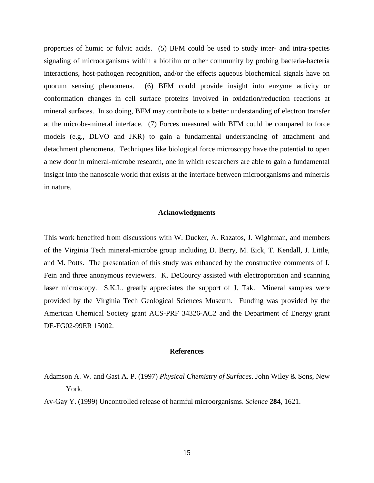properties of humic or fulvic acids. (5) BFM could be used to study inter- and intra-species signaling of microorganisms within a biofilm or other community by probing bacteria-bacteria interactions, host-pathogen recognition, and/or the effects aqueous biochemical signals have on quorum sensing phenomena. (6) BFM could provide insight into enzyme activity or conformation changes in cell surface proteins involved in oxidation/reduction reactions at mineral surfaces. In so doing, BFM may contribute to a better understanding of electron transfer at the microbe-mineral interface. (7) Forces measured with BFM could be compared to force models (e.g., DLVO and JKR) to gain a fundamental understanding of attachment and detachment phenomena. Techniques like biological force microscopy have the potential to open a new door in mineral-microbe research, one in which researchers are able to gain a fundamental insight into the nanoscale world that exists at the interface between microorganisms and minerals in nature.

#### **Acknowledgments**

This work benefited from discussions with W. Ducker, A. Razatos, J. Wightman, and members of the Virginia Tech mineral-microbe group including D. Berry, M. Eick, T. Kendall, J. Little, and M. Potts. The presentation of this study was enhanced by the constructive comments of J. Fein and three anonymous reviewers. K. DeCourcy assisted with electroporation and scanning laser microscopy. S.K.L. greatly appreciates the support of J. Tak. Mineral samples were provided by the Virginia Tech Geological Sciences Museum. Funding was provided by the American Chemical Society grant ACS-PRF 34326-AC2 and the Department of Energy grant DE-FG02-99ER 15002.

#### **References**

Av-Gay Y. (1999) Uncontrolled release of harmful microorganisms. *Science* **284**, 1621.

Adamson A. W. and Gast A. P. (1997) *Physical Chemistry of Surfaces*. John Wiley & Sons, New York.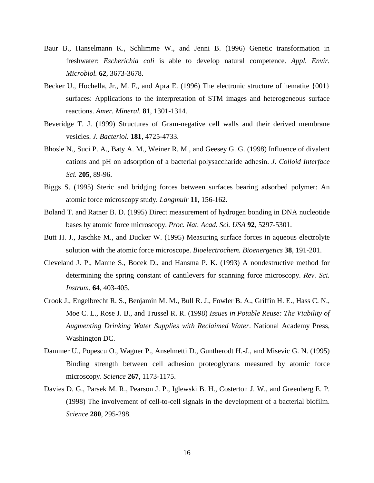- Baur B., Hanselmann K., Schlimme W., and Jenni B. (1996) Genetic transformation in freshwater: *Escherichia coli* is able to develop natural competence. *Appl. Envir. Microbiol.* **62**, 3673-3678.
- Becker U., Hochella, Jr., M. F., and Apra E. (1996) The electronic structure of hematite  $\{001\}$ surfaces: Applications to the interpretation of STM images and heterogeneous surface reactions. *Amer. Mineral.* **81**, 1301-1314.
- Beveridge T. J. (1999) Structures of Gram-negative cell walls and their derived membrane vesicles. *J. Bacteriol.* **181**, 4725-4733.
- Bhosle N., Suci P. A., Baty A. M., Weiner R. M., and Geesey G. G. (1998) Influence of divalent cations and pH on adsorption of a bacterial polysaccharide adhesin. *J. Colloid Interface Sci.* **205**, 89-96.
- Biggs S. (1995) Steric and bridging forces between surfaces bearing adsorbed polymer: An atomic force microscopy study. *Langmuir* **11**, 156-162.
- Boland T. and Ratner B. D. (1995) Direct measurement of hydrogen bonding in DNA nucleotide bases by atomic force microscopy. *Proc. Nat. Acad. Sci. USA* **92**, 5297-5301.
- Butt H. J., Jaschke M., and Ducker W. (1995) Measuring surface forces in aqueous electrolyte solution with the atomic force microscope. *Bioelectrochem. Bioenergetics* **38**, 191-201.
- Cleveland J. P., Manne S., Bocek D., and Hansma P. K. (1993) A nondestructive method for determining the spring constant of cantilevers for scanning force microscopy. *Rev. Sci. Instrum.* **64**, 403-405.
- Crook J., Engelbrecht R. S., Benjamin M. M., Bull R. J., Fowler B. A., Griffin H. E., Hass C. N., Moe C. L., Rose J. B., and Trussel R. R. (1998) *Issues in Potable Reuse: The Viability of Augmenting Drinking Water Supplies with Reclaimed Water*. National Academy Press, Washington DC.
- Dammer U., Popescu O., Wagner P., Anselmetti D., Guntherodt H.-J., and Misevic G. N. (1995) Binding strength between cell adhesion proteoglycans measured by atomic force microscopy. *Science* **267**, 1173-1175.
- Davies D. G., Parsek M. R., Pearson J. P., Iglewski B. H., Costerton J. W., and Greenberg E. P. (1998) The involvement of cell-to-cell signals in the development of a bacterial biofilm. *Science* **280**, 295-298.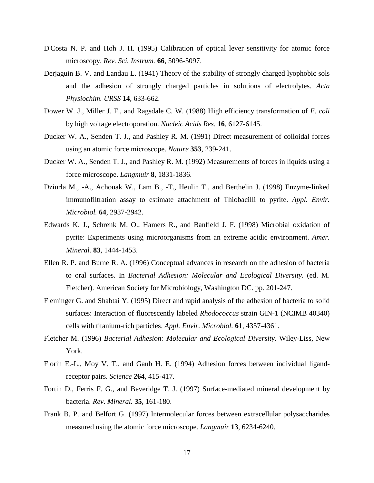- D'Costa N. P. and Hoh J. H. (1995) Calibration of optical lever sensitivity for atomic force microscopy. *Rev. Sci. Instrum.* **66**, 5096-5097.
- Derjaguin B. V. and Landau L. (1941) Theory of the stability of strongly charged lyophobic sols and the adhesion of strongly charged particles in solutions of electrolytes. *Acta Physiochim. URSS* **14**, 633-662.
- Dower W. J., Miller J. F., and Ragsdale C. W. (1988) High efficiency transformation of *E. coli* by high voltage electroporation. *Nucleic Acids Res.* **16**, 6127-6145.
- Ducker W. A., Senden T. J., and Pashley R. M. (1991) Direct measurement of colloidal forces using an atomic force microscope. *Nature* **353**, 239-241.
- Ducker W. A., Senden T. J., and Pashley R. M. (1992) Measurements of forces in liquids using a force microscope. *Langmuir* **8**, 1831-1836.
- Dziurla M., -A., Achouak W., Lam B., -T., Heulin T., and Berthelin J. (1998) Enzyme-linked immunofiltration assay to estimate attachment of Thiobacilli to pyrite. *Appl. Envir. Microbiol.* **64**, 2937-2942.
- Edwards K. J., Schrenk M. O., Hamers R., and Banfield J. F. (1998) Microbial oxidation of pyrite: Experiments using microorganisms from an extreme acidic environment. *Amer. Mineral.* **83**, 1444-1453.
- Ellen R. P. and Burne R. A. (1996) Conceptual advances in research on the adhesion of bacteria to oral surfaces. In *Bacterial Adhesion: Molecular and Ecological Diversity.* (ed. M. Fletcher). American Society for Microbiology, Washington DC. pp. 201-247.
- Fleminger G. and Shabtai Y. (1995) Direct and rapid analysis of the adhesion of bacteria to solid surfaces: Interaction of fluorescently labeled *Rhodococcus* strain GIN-1 (NCIMB 40340) cells with titanium-rich particles. *Appl. Envir. Microbiol.* **61**, 4357-4361.
- Fletcher M. (1996) *Bacterial Adhesion: Molecular and Ecological Diversity*. Wiley-Liss, New York.
- Florin E.-L., Moy V. T., and Gaub H. E. (1994) Adhesion forces between individual ligandreceptor pairs. *Science* **264**, 415-417.
- Fortin D., Ferris F. G., and Beveridge T. J. (1997) Surface-mediated mineral development by bacteria. *Rev. Mineral.* **35**, 161-180.
- Frank B. P. and Belfort G. (1997) Intermolecular forces between extracellular polysaccharides measured using the atomic force microscope. *Langmuir* **13**, 6234-6240.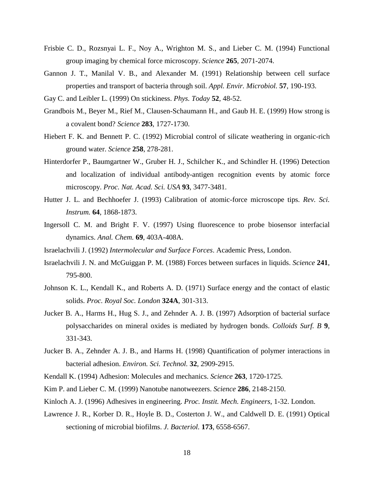- Frisbie C. D., Rozsnyai L. F., Noy A., Wrighton M. S., and Lieber C. M. (1994) Functional group imaging by chemical force microscopy. *Science* **265**, 2071-2074.
- Gannon J. T., Manilal V. B., and Alexander M. (1991) Relationship between cell surface properties and transport of bacteria through soil. *Appl. Envir. Microbiol.* **57**, 190-193.
- Gay C. and Leibler L. (1999) On stickiness. *Phys. Today* **52**, 48-52.
- Grandbois M., Beyer M., Rief M., Clausen-Schaumann H., and Gaub H. E. (1999) How strong is a covalent bond? *Science* **283**, 1727-1730.
- Hiebert F. K. and Bennett P. C. (1992) Microbial control of silicate weathering in organic-rich ground water. *Science* **258**, 278-281.
- Hinterdorfer P., Baumgartner W., Gruber H. J., Schilcher K., and Schindler H. (1996) Detection and localization of individual antibody-antigen recognition events by atomic force microscopy. *Proc. Nat. Acad. Sci. USA* **93**, 3477-3481.
- Hutter J. L. and Bechhoefer J. (1993) Calibration of atomic-force microscope tips. *Rev. Sci. Instrum.* **64**, 1868-1873.
- Ingersoll C. M. and Bright F. V. (1997) Using fluorescence to probe biosensor interfacial dynamics. *Anal. Chem.* **69**, 403A-408A.
- Israelachvili J. (1992) *Intermolecular and Surface Forces*. Academic Press, London.
- Israelachvili J. N. and McGuiggan P. M. (1988) Forces between surfaces in liquids. *Science* **241**, 795-800.
- Johnson K. L., Kendall K., and Roberts A. D. (1971) Surface energy and the contact of elastic solids. *Proc. Royal Soc. London* **324A**, 301-313.
- Jucker B. A., Harms H., Hug S. J., and Zehnder A. J. B. (1997) Adsorption of bacterial surface polysaccharides on mineral oxides is mediated by hydrogen bonds. *Colloids Surf. B* **9**, 331-343.
- Jucker B. A., Zehnder A. J. B., and Harms H. (1998) Quantification of polymer interactions in bacterial adhesion. *Environ. Sci. Technol.* **32**, 2909-2915.
- Kendall K. (1994) Adhesion: Molecules and mechanics. *Science* **263**, 1720-1725.
- Kim P. and Lieber C. M. (1999) Nanotube nanotweezers. *Science* **286**, 2148-2150.
- Kinloch A. J. (1996) Adhesives in engineering. *Proc. Instit. Mech. Engineers*, 1-32. London.
- Lawrence J. R., Korber D. R., Hoyle B. D., Costerton J. W., and Caldwell D. E. (1991) Optical sectioning of microbial biofilms. *J. Bacteriol.* **173**, 6558-6567.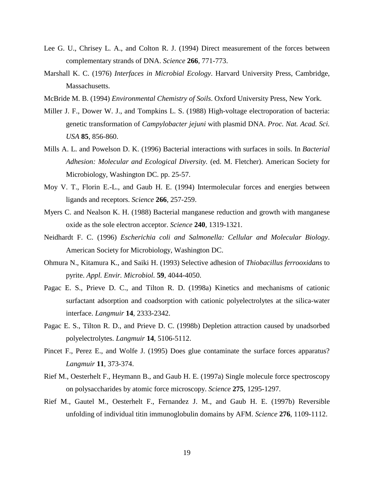- Lee G. U., Chrisey L. A., and Colton R. J. (1994) Direct measurement of the forces between complementary strands of DNA. *Science* **266**, 771-773.
- Marshall K. C. (1976) *Interfaces in Microbial Ecology*. Harvard University Press, Cambridge, Massachusetts.
- McBride M. B. (1994) *Environmental Chemistry of Soils*. Oxford University Press, New York.
- Miller J. F., Dower W. J., and Tompkins L. S. (1988) High-voltage electroporation of bacteria: genetic transformation of *Campylobacter jejuni* with plasmid DNA. *Proc. Nat. Acad. Sci. USA* **85**, 856-860.
- Mills A. L. and Powelson D. K. (1996) Bacterial interactions with surfaces in soils. In *Bacterial Adhesion: Molecular and Ecological Diversity.* (ed. M. Fletcher). American Society for Microbiology, Washington DC. pp. 25-57.
- Moy V. T., Florin E.-L., and Gaub H. E. (1994) Intermolecular forces and energies between ligands and receptors. *Science* **266**, 257-259.
- Myers C. and Nealson K. H. (1988) Bacterial manganese reduction and growth with manganese oxide as the sole electron acceptor. *Science* **240**, 1319-1321.
- Neidhardt F. C. (1996) *Escherichia coli and Salmonella: Cellular and Molecular Biology*. American Society for Microbiology, Washington DC.
- Ohmura N., Kitamura K., and Saiki H. (1993) Selective adhesion of *Thiobacillus ferrooxidans* to pyrite. *Appl. Envir. Microbiol.* **59**, 4044-4050.
- Pagac E. S., Prieve D. C., and Tilton R. D. (1998a) Kinetics and mechanisms of cationic surfactant adsorption and coadsorption with cationic polyelectrolytes at the silica-water interface. *Langmuir* **14**, 2333-2342.
- Pagac E. S., Tilton R. D., and Prieve D. C. (1998b) Depletion attraction caused by unadsorbed polyelectrolytes. *Langmuir* **14**, 5106-5112.
- Pincet F., Perez E., and Wolfe J. (1995) Does glue contaminate the surface forces apparatus? *Langmuir* **11**, 373-374.
- Rief M., Oesterhelt F., Heymann B., and Gaub H. E. (1997a) Single molecule force spectroscopy on polysaccharides by atomic force microscopy. *Science* **275**, 1295-1297.
- Rief M., Gautel M., Oesterhelt F., Fernandez J. M., and Gaub H. E. (1997b) Reversible unfolding of individual titin immunoglobulin domains by AFM. *Science* **276**, 1109-1112.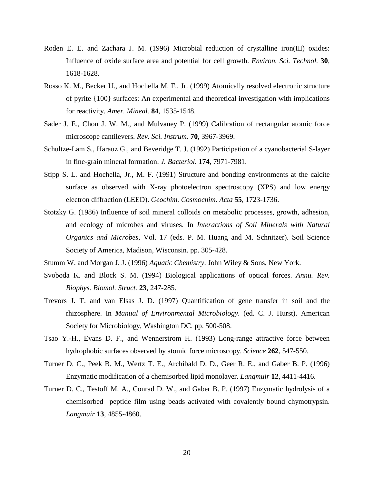- Roden E. E. and Zachara J. M. (1996) Microbial reduction of crystalline iron(III) oxides: Influence of oxide surface area and potential for cell growth. *Environ. Sci. Technol.* **30**, 1618-1628.
- Rosso K. M., Becker U., and Hochella M. F., Jr. (1999) Atomically resolved electronic structure of pyrite {100} surfaces: An experimental and theoretical investigation with implications for reactivity. *Amer. Mineal.* **84**, 1535-1548.
- Sader J. E., Chon J. W. M., and Mulvaney P. (1999) Calibration of rectangular atomic force microscope cantilevers. *Rev. Sci. Instrum.* **70**, 3967-3969.
- Schultze-Lam S., Harauz G., and Beveridge T. J. (1992) Participation of a cyanobacterial S-layer in fine-grain mineral formation. *J. Bacteriol.* **174**, 7971-7981.
- Stipp S. L. and Hochella, Jr., M. F. (1991) Structure and bonding environments at the calcite surface as observed with X-ray photoelectron spectroscopy (XPS) and low energy electron diffraction (LEED). *Geochim. Cosmochim. Acta* **55**, 1723-1736.
- Stotzky G. (1986) Influence of soil mineral colloids on metabolic processes, growth, adhesion, and ecology of microbes and viruses. In *Interactions of Soil Minerals with Natural Organics and Microbes*, Vol. 17 (eds. P. M. Huang and M. Schnitzer). Soil Science Society of America, Madison, Wisconsin. pp. 305-428.
- Stumm W. and Morgan J. J. (1996) *Aquatic Chemistry*. John Wiley & Sons, New York.
- Svoboda K. and Block S. M. (1994) Biological applications of optical forces. *Annu. Rev. Biophys. Biomol. Struct.* **23**, 247-285.
- Trevors J. T. and van Elsas J. D. (1997) Quantification of gene transfer in soil and the rhizosphere. In *Manual of Environmental Microbiology.* (ed. C. J. Hurst). American Society for Microbiology, Washington DC. pp. 500-508.
- Tsao Y.-H., Evans D. F., and Wennerstrom H. (1993) Long-range attractive force between hydrophobic surfaces observed by atomic force microscopy. *Science* **262**, 547-550.
- Turner D. C., Peek B. M., Wertz T. E., Archibald D. D., Geer R. E., and Gaber B. P. (1996) Enzymatic modification of a chemisorbed lipid monolayer. *Langmuir* **12**, 4411-4416.
- Turner D. C., Testoff M. A., Conrad D. W., and Gaber B. P. (1997) Enzymatic hydrolysis of a chemisorbed peptide film using beads activated with covalently bound chymotrypsin. *Langmuir* **13**, 4855-4860.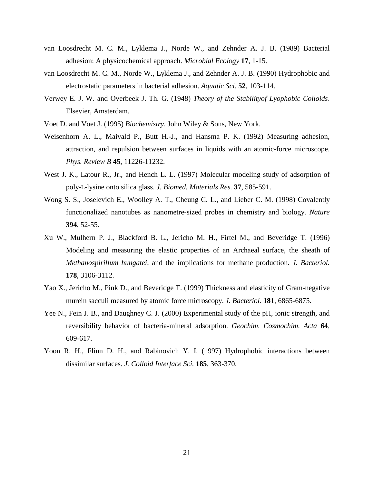- van Loosdrecht M. C. M., Lyklema J., Norde W., and Zehnder A. J. B. (1989) Bacterial adhesion: A physicochemical approach. *Microbial Ecology* **17**, 1-15.
- van Loosdrecht M. C. M., Norde W., Lyklema J., and Zehnder A. J. B. (1990) Hydrophobic and electrostatic parameters in bacterial adhesion. *Aquatic Sci.* **52**, 103-114.
- Verwey E. J. W. and Overbeek J. Th. G. (1948) *Theory of the Stabilityof Lyophobic Colloids*. Elsevier, Amsterdam.
- Voet D. and Voet J. (1995) *Biochemistry*. John Wiley & Sons, New York.
- Weisenhorn A. L., Maivald P., Butt H.-J., and Hansma P. K. (1992) Measuring adhesion, attraction, and repulsion between surfaces in liquids with an atomic-force microscope. *Phys. Review B* **45**, 11226-11232.
- West J. K., Latour R., Jr., and Hench L. L. (1997) Molecular modeling study of adsorption of poly-L-lysine onto silica glass. *J. Biomed. Materials Res.* **37**, 585-591.
- Wong S. S., Joselevich E., Woolley A. T., Cheung C. L., and Lieber C. M. (1998) Covalently functionalized nanotubes as nanometre-sized probes in chemistry and biology. *Nature* **394**, 52-55.
- Xu W., Mulhern P. J., Blackford B. L., Jericho M. H., Firtel M., and Beveridge T. (1996) Modeling and measuring the elastic properties of an Archaeal surface, the sheath of *Methanospirillum hungatei*, and the implications for methane production. *J. Bacteriol.* **178**, 3106-3112.
- Yao X., Jericho M., Pink D., and Beveridge T. (1999) Thickness and elasticity of Gram-negative murein sacculi measured by atomic force microscopy. *J. Bacteriol.* **181**, 6865-6875.
- Yee N., Fein J. B., and Daughney C. J. (2000) Experimental study of the pH, ionic strength, and reversibility behavior of bacteria-mineral adsorption. *Geochim. Cosmochim. Acta* **64**, 609-617.
- Yoon R. H., Flinn D. H., and Rabinovich Y. I. (1997) Hydrophobic interactions between dissimilar surfaces. *J. Colloid Interface Sci.* **185**, 363-370.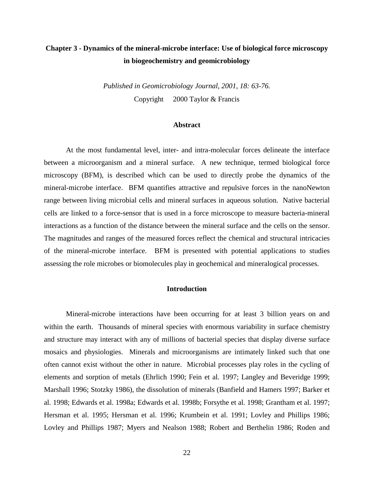## **Chapter 3 - Dynamics of the mineral-microbe interface: Use of biological force microscopy in biogeochemistry and geomicrobiology**

*Published in Geomicrobiology Journal, 2001, 18: 63-76.* Copyright © 2000 Taylor & Francis

#### **Abstract**

At the most fundamental level, inter- and intra-molecular forces delineate the interface between a microorganism and a mineral surface. A new technique, termed biological force microscopy (BFM), is described which can be used to directly probe the dynamics of the mineral-microbe interface. BFM quantifies attractive and repulsive forces in the nanoNewton range between living microbial cells and mineral surfaces in aqueous solution. Native bacterial cells are linked to a force-sensor that is used in a force microscope to measure bacteria-mineral interactions as a function of the distance between the mineral surface and the cells on the sensor. The magnitudes and ranges of the measured forces reflect the chemical and structural intricacies of the mineral-microbe interface. BFM is presented with potential applications to studies assessing the role microbes or biomolecules play in geochemical and mineralogical processes.

#### **Introduction**

Mineral-microbe interactions have been occurring for at least 3 billion years on and within the earth. Thousands of mineral species with enormous variability in surface chemistry and structure may interact with any of millions of bacterial species that display diverse surface mosaics and physiologies. Minerals and microorganisms are intimately linked such that one often cannot exist without the other in nature. Microbial processes play roles in the cycling of elements and sorption of metals (Ehrlich 1990; Fein et al. 1997; Langley and Beveridge 1999; Marshall 1996; Stotzky 1986), the dissolution of minerals (Banfield and Hamers 1997; Barker et al. 1998; Edwards et al. 1998a; Edwards et al. 1998b; Forsythe et al. 1998; Grantham et al. 1997; Hersman et al. 1995; Hersman et al. 1996; Krumbein et al. 1991; Lovley and Phillips 1986; Lovley and Phillips 1987; Myers and Nealson 1988; Robert and Berthelin 1986; Roden and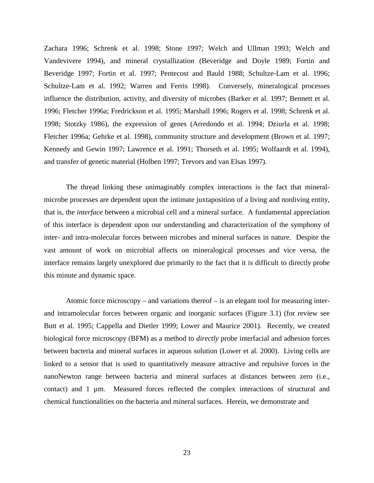Zachara 1996; Schrenk et al. 1998; Stone 1997; Welch and Ullman 1993; Welch and Vandevivere 1994), and mineral crystallization (Beveridge and Doyle 1989; Fortin and Beveridge 1997; Fortin et al. 1997; Pentecost and Bauld 1988; Schultze-Lam et al. 1996; Schultze-Lam et al. 1992; Warren and Ferris 1998). Conversely, mineralogical processes influence the distribution, activity, and diversity of microbes (Barker et al. 1997; Bennett et al. 1996; Fletcher 1996a; Fredrickson et al. 1995; Marshall 1996; Rogers et al. 1998; Schrenk et al. 1998; Stotzky 1986), the expression of genes (Arredondo et al. 1994; Dziurla et al. 1998; Fletcher 1996a; Gehrke et al. 1998), community structure and development (Brown et al. 1997; Kennedy and Gewin 1997; Lawrence et al. 1991; Thorseth et al. 1995; Wolfaardt et al. 1994), and transfer of genetic material (Holben 1997; Trevors and van Elsas 1997).

The thread linking these unimaginably complex interactions is the fact that mineralmicrobe processes are dependent upon the intimate juxtaposition of a living and nonliving entity, that is, the *interface* between a microbial cell and a mineral surface. A fundamental appreciation of this interface is dependent upon our understanding and characterization of the symphony of inter- and intra-molecular forces between microbes and mineral surfaces in nature. Despite the vast amount of work on microbial affects on mineralogical processes and vice versa, the interface remains largely unexplored due primarily to the fact that it is difficult to directly probe this minute and dynamic space.

Atomic force microscopy – and variations thereof – is an elegant tool for measuring interand intramolecular forces between organic and inorganic surfaces (Figure 3.1) (for review see Butt et al. 1995; Cappella and Dietler 1999; Lower and Maurice 2001). Recently, we created biological force microscopy (BFM) as a method to *directly* probe interfacial and adhesion forces between bacteria and mineral surfaces in aqueous solution (Lower et al. 2000). Living cells are linked to a sensor that is used to quantitatively measure attractive and repulsive forces in the nanoNewton range between bacteria and mineral surfaces at distances between zero (i.e., contact) and 1 µm. Measured forces reflected the complex interactions of structural and chemical functionalities on the bacteria and mineral surfaces. Herein, we demonstrate and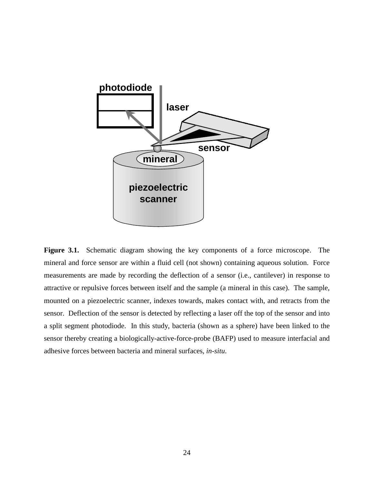

**Figure 3.1.** Schematic diagram showing the key components of a force microscope. The mineral and force sensor are within a fluid cell (not shown) containing aqueous solution. Force measurements are made by recording the deflection of a sensor (i.e., cantilever) in response to attractive or repulsive forces between itself and the sample (a mineral in this case). The sample, mounted on a piezoelectric scanner, indexes towards, makes contact with, and retracts from the sensor. Deflection of the sensor is detected by reflecting a laser off the top of the sensor and into a split segment photodiode. In this study, bacteria (shown as a sphere) have been linked to the sensor thereby creating a biologically-active-force-probe (BAFP) used to measure interfacial and adhesive forces between bacteria and mineral surfaces, *in-situ*.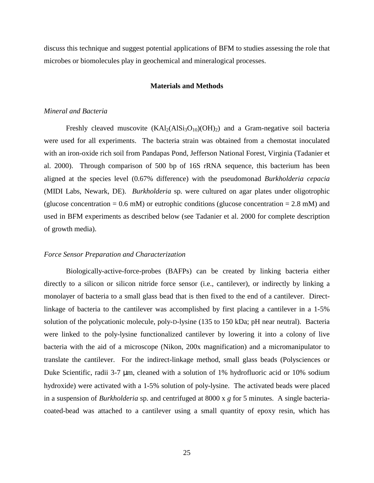discuss this technique and suggest potential applications of BFM to studies assessing the role that microbes or biomolecules play in geochemical and mineralogical processes.

#### **Materials and Methods**

#### *Mineral and Bacteria*

Freshly cleaved muscovite  $(KAl<sub>2</sub>(AlSi<sub>3</sub>O<sub>10</sub>)(OH)<sub>2</sub>)$  and a Gram-negative soil bacteria were used for all experiments. The bacteria strain was obtained from a chemostat inoculated with an iron-oxide rich soil from Pandapas Pond, Jefferson National Forest, Virginia (Tadanier et al. 2000). Through comparison of 500 bp of 16S rRNA sequence, this bacterium has been aligned at the species level (0.67% difference) with the pseudomonad *Burkholderia cepacia* (MIDI Labs, Newark, DE). *Burkholderia* sp. were cultured on agar plates under oligotrophic (glucose concentration =  $0.6$  mM) or eutrophic conditions (glucose concentration =  $2.8$  mM) and used in BFM experiments as described below (see Tadanier et al. 2000 for complete description of growth media).

#### *Force Sensor Preparation and Characterization*

Biologically-active-force-probes (BAFPs) can be created by linking bacteria either directly to a silicon or silicon nitride force sensor (i.e., cantilever), or indirectly by linking a monolayer of bacteria to a small glass bead that is then fixed to the end of a cantilever. Directlinkage of bacteria to the cantilever was accomplished by first placing a cantilever in a 1-5% solution of the polycationic molecule, poly-D-lysine (135 to 150 kDa; pH near neutral). Bacteria were linked to the poly-lysine functionalized cantilever by lowering it into a colony of live bacteria with the aid of a microscope (Nikon, 200x magnification) and a micromanipulator to translate the cantilever. For the indirect-linkage method, small glass beads (Polysciences or Duke Scientific, radii 3-7 µm, cleaned with a solution of 1% hydrofluoric acid or 10% sodium hydroxide) were activated with a 1-5% solution of poly-lysine. The activated beads were placed in a suspension of *Burkholderia* sp. and centrifuged at 8000 x *g* for 5 minutes. A single bacteriacoated-bead was attached to a cantilever using a small quantity of epoxy resin, which has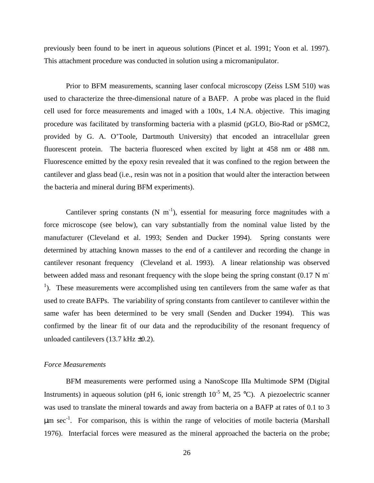previously been found to be inert in aqueous solutions (Pincet et al. 1991; Yoon et al. 1997). This attachment procedure was conducted in solution using a micromanipulator.

Prior to BFM measurements, scanning laser confocal microscopy (Zeiss LSM 510) was used to characterize the three-dimensional nature of a BAFP. A probe was placed in the fluid cell used for force measurements and imaged with a 100x, 1.4 N.A. objective. This imaging procedure was facilitated by transforming bacteria with a plasmid (pGLO, Bio-Rad or pSMC2, provided by G. A. O'Toole, Dartmouth University) that encoded an intracellular green fluorescent protein. The bacteria fluoresced when excited by light at 458 nm or 488 nm. Fluorescence emitted by the epoxy resin revealed that it was confined to the region between the cantilever and glass bead (i.e., resin was not in a position that would alter the interaction between the bacteria and mineral during BFM experiments).

Cantilever spring constants  $(N \ m^{-1})$ , essential for measuring force magnitudes with a force microscope (see below), can vary substantially from the nominal value listed by the manufacturer (Cleveland et al. 1993; Senden and Ducker 1994). Spring constants were determined by attaching known masses to the end of a cantilever and recording the change in cantilever resonant frequency (Cleveland et al. 1993). A linear relationship was observed between added mass and resonant frequency with the slope being the spring constant  $(0.17 \text{ N m}^{-1})$ <sup>1</sup>). These measurements were accomplished using ten cantilevers from the same wafer as that used to create BAFPs. The variability of spring constants from cantilever to cantilever within the same wafer has been determined to be very small (Senden and Ducker 1994). This was confirmed by the linear fit of our data and the reproducibility of the resonant frequency of unloaded cantilevers (13.7 kHz ±0.2).

#### *Force Measurements*

BFM measurements were performed using a NanoScope IIIa Multimode SPM (Digital Instruments) in aqueous solution (pH 6, ionic strength  $10^{-5}$  M, 25 °C). A piezoelectric scanner was used to translate the mineral towards and away from bacteria on a BAFP at rates of 0.1 to 3  $\mu$ m sec<sup>-1</sup>. For comparison, this is within the range of velocities of motile bacteria (Marshall 1976). Interfacial forces were measured as the mineral approached the bacteria on the probe;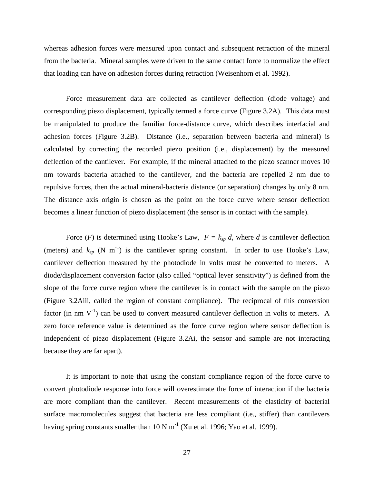whereas adhesion forces were measured upon contact and subsequent retraction of the mineral from the bacteria. Mineral samples were driven to the same contact force to normalize the effect that loading can have on adhesion forces during retraction (Weisenhorn et al. 1992).

Force measurement data are collected as cantilever deflection (diode voltage) and corresponding piezo displacement, typically termed a force curve (Figure 3.2A). This data must be manipulated to produce the familiar force-distance curve, which describes interfacial and adhesion forces (Figure 3.2B). Distance (i.e., separation between bacteria and mineral) is calculated by correcting the recorded piezo position (i.e., displacement) by the measured deflection of the cantilever. For example, if the mineral attached to the piezo scanner moves 10 nm towards bacteria attached to the cantilever, and the bacteria are repelled 2 nm due to repulsive forces, then the actual mineral-bacteria distance (or separation) changes by only 8 nm. The distance axis origin is chosen as the point on the force curve where sensor deflection becomes a linear function of piezo displacement (the sensor is in contact with the sample).

Force (*F*) is determined using Hooke's Law,  $F = k_{sp} d$ , where *d* is cantilever deflection (meters) and  $k_{sp}$  (N m<sup>-1</sup>) is the cantilever spring constant. In order to use Hooke's Law, cantilever deflection measured by the photodiode in volts must be converted to meters. A diode/displacement conversion factor (also called "optical lever sensitivity") is defined from the slope of the force curve region where the cantilever is in contact with the sample on the piezo (Figure 3.2Aiii, called the region of constant compliance). The reciprocal of this conversion factor (in nm  $V^{-1}$ ) can be used to convert measured cantilever deflection in volts to meters. A zero force reference value is determined as the force curve region where sensor deflection is independent of piezo displacement (Figure 3.2Ai, the sensor and sample are not interacting because they are far apart).

It is important to note that using the constant compliance region of the force curve to convert photodiode response into force will overestimate the force of interaction if the bacteria are more compliant than the cantilever. Recent measurements of the elasticity of bacterial surface macromolecules suggest that bacteria are less compliant (i.e., stiffer) than cantilevers having spring constants smaller than 10 N  $m^{-1}$  (Xu et al. 1996; Yao et al. 1999).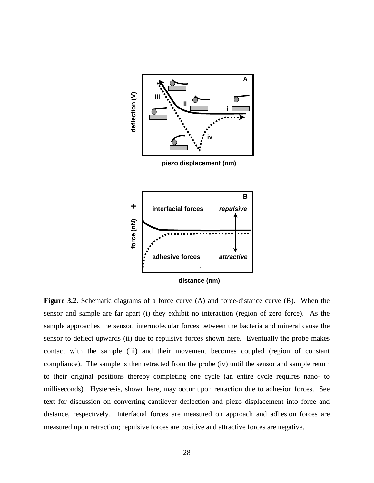

**Figure 3.2.** Schematic diagrams of a force curve (A) and force-distance curve (B). When the sensor and sample are far apart (i) they exhibit no interaction (region of zero force). As the sample approaches the sensor, intermolecular forces between the bacteria and mineral cause the sensor to deflect upwards (ii) due to repulsive forces shown here. Eventually the probe makes contact with the sample (iii) and their movement becomes coupled (region of constant compliance). The sample is then retracted from the probe (iv) until the sensor and sample return to their original positions thereby completing one cycle (an entire cycle requires nano- to milliseconds). Hysteresis, shown here, may occur upon retraction due to adhesion forces. See text for discussion on converting cantilever deflection and piezo displacement into force and distance, respectively. Interfacial forces are measured on approach and adhesion forces are **EXECUTE 1.1 CONSTRANGLUM CONSTRANGLUM CONSTRANGLUM CONSTRANGLUM CONSTRANGLUM CONSTRANGLUM CONSTRANGLUM CONSTRANGLUM CONSTRANGLUM CONSTRANGLUM CONSTRANGLUM CONSTRANGLUM CONSTRANGLUM CONSTRANGLUM CONSTRANGLUM CONSTRANGLU**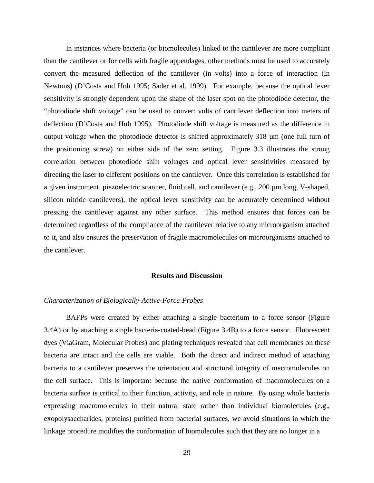In instances where bacteria (or biomolecules) linked to the cantilever are more compliant than the cantilever or for cells with fragile appendages, other methods must be used to accurately convert the measured deflection of the cantilever (in volts) into a force of interaction (in Newtons) (D'Costa and Hoh 1995; Sader et al. 1999). For example, because the optical lever sensitivity is strongly dependent upon the shape of the laser spot on the photodiode detector, the "photodiode shift voltage" can be used to convert volts of cantilever deflection into meters of deflection (D'Costa and Hoh 1995). Photodiode shift voltage is measured as the difference in output voltage when the photodiode detector is shifted approximately 318 µm (one full turn of the positioning screw) on either side of the zero setting. Figure 3.3 illustrates the strong correlation between photodiode shift voltages and optical lever sensitivities measured by directing the laser to different positions on the cantilever. Once this correlation is established for a given instrument, piezoelectric scanner, fluid cell, and cantilever (e.g., 200 µm long, V-shaped, silicon nitride cantilevers), the optical lever sensitivity can be accurately determined without pressing the cantilever against any other surface. This method ensures that forces can be determined regardless of the compliance of the cantilever relative to any microorganism attached to it, and also ensures the preservation of fragile macromolecules on microorganisms attached to the cantilever.

#### **Results and Discussion**

#### *Characterization of Biologically-Active-Force-Probes*

BAFPs were created by either attaching a single bacterium to a force sensor (Figure 3.4A) or by attaching a single bacteria-coated-bead (Figure 3.4B) to a force sensor. Fluorescent dyes (ViaGram, Molecular Probes) and plating techniques revealed that cell membranes on these bacteria are intact and the cells are viable. Both the direct and indirect method of attaching bacteria to a cantilever preserves the orientation and structural integrity of macromolecules on the cell surface. This is important because the native conformation of macromolecules on a bacteria surface is critical to their function, activity, and role in nature. By using whole bacteria expressing macromolecules in their natural state rather than individual biomolecules (e.g., exopolysaccharides, proteins) purified from bacterial surfaces, we avoid situations in which the linkage procedure modifies the conformation of biomolecules such that they are no longer in a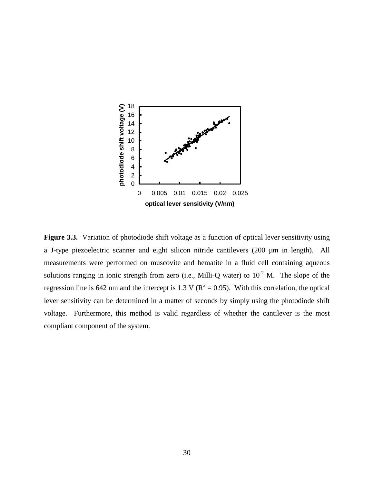

Figure 3.3. Variation of photodiode shift voltage as a function of optical lever sensitivity using a J-type piezoelectric scanner and eight silicon nitride cantilevers (200 µm in length). All measurements were performed on muscovite and hematite in a fluid cell containing aqueous solutions ranging in ionic strength from zero (i.e., Milli-Q water) to  $10^{-2}$  M. The slope of the regression line is 642 nm and the intercept is 1.3 V ( $R^2 = 0.95$ ). With this correlation, the optical lever sensitivity can be determined in a matter of seconds by simply using the photodiode shift voltage. Furthermore, this method is valid regardless of whether the cantilever is the most compliant component of the system.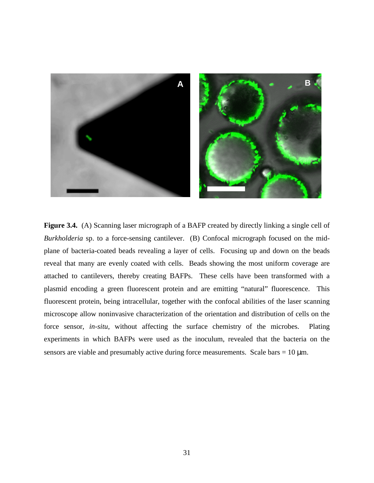

Figure 3.4. (A) Scanning laser micrograph of a BAFP created by directly linking a single cell of *Burkholderia* sp. to a force-sensing cantilever. (B) Confocal micrograph focused on the midplane of bacteria-coated beads revealing a layer of cells. Focusing up and down on the beads reveal that many are evenly coated with cells. Beads showing the most uniform coverage are attached to cantilevers, thereby creating BAFPs. These cells have been transformed with a plasmid encoding a green fluorescent protein and are emitting "natural" fluorescence. This fluorescent protein, being intracellular, together with the confocal abilities of the laser scanning microscope allow noninvasive characterization of the orientation and distribution of cells on the force sensor, *in-situ*, without affecting the surface chemistry of the microbes. Plating experiments in which BAFPs were used as the inoculum, revealed that the bacteria on the sensors are viable and presumably active during force measurements. Scale bars =  $10 \mu m$ .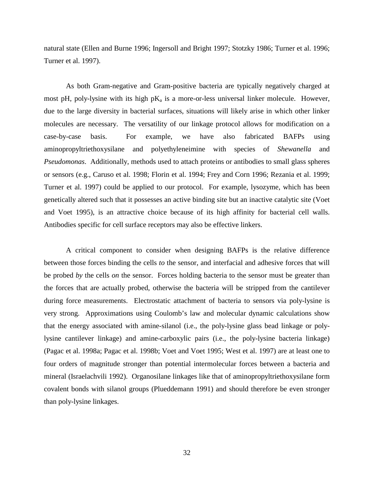natural state (Ellen and Burne 1996; Ingersoll and Bright 1997; Stotzky 1986; Turner et al. 1996; Turner et al. 1997).

As both Gram-negative and Gram-positive bacteria are typically negatively charged at most pH, poly-lysine with its high  $pK_a$  is a more-or-less universal linker molecule. However, due to the large diversity in bacterial surfaces, situations will likely arise in which other linker molecules are necessary. The versatility of our linkage protocol allows for modification on a case-by-case basis. For example, we have also fabricated BAFPs using aminopropyltriethoxysilane and polyethyleneimine with species of *Shewanella* and *Pseudomonas*. Additionally, methods used to attach proteins or antibodies to small glass spheres or sensors (e.g., Caruso et al. 1998; Florin et al. 1994; Frey and Corn 1996; Rezania et al. 1999; Turner et al. 1997) could be applied to our protocol. For example, lysozyme, which has been genetically altered such that it possesses an active binding site but an inactive catalytic site (Voet and Voet 1995), is an attractive choice because of its high affinity for bacterial cell walls. Antibodies specific for cell surface receptors may also be effective linkers.

A critical component to consider when designing BAFPs is the relative difference between those forces binding the cells *to* the sensor, and interfacial and adhesive forces that will be probed *by* the cells *on* the sensor. Forces holding bacteria to the sensor must be greater than the forces that are actually probed, otherwise the bacteria will be stripped from the cantilever during force measurements. Electrostatic attachment of bacteria to sensors via poly-lysine is very strong. Approximations using Coulomb's law and molecular dynamic calculations show that the energy associated with amine-silanol (i.e., the poly-lysine glass bead linkage or polylysine cantilever linkage) and amine-carboxylic pairs (i.e., the poly-lysine bacteria linkage) (Pagac et al. 1998a; Pagac et al. 1998b; Voet and Voet 1995; West et al. 1997) are at least one to four orders of magnitude stronger than potential intermolecular forces between a bacteria and mineral (Israelachvili 1992). Organosilane linkages like that of aminopropyltriethoxysilane form covalent bonds with silanol groups (Plueddemann 1991) and should therefore be even stronger than poly-lysine linkages.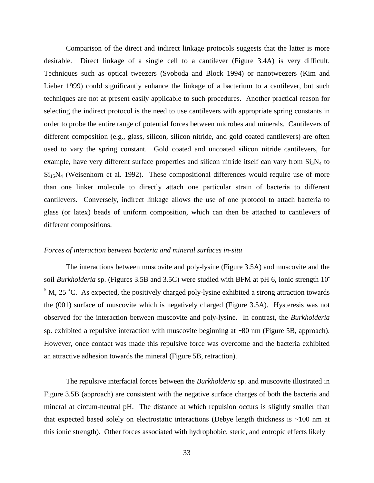Comparison of the direct and indirect linkage protocols suggests that the latter is more desirable. Direct linkage of a single cell to a cantilever (Figure 3.4A) is very difficult. Techniques such as optical tweezers (Svoboda and Block 1994) or nanotweezers (Kim and Lieber 1999) could significantly enhance the linkage of a bacterium to a cantilever, but such techniques are not at present easily applicable to such procedures. Another practical reason for selecting the indirect protocol is the need to use cantilevers with appropriate spring constants in order to probe the entire range of potential forces between microbes and minerals. Cantilevers of different composition (e.g., glass, silicon, silicon nitride, and gold coated cantilevers) are often used to vary the spring constant. Gold coated and uncoated silicon nitride cantilevers, for example, have very different surface properties and silicon nitride itself can vary from  $Si<sub>3</sub>N<sub>4</sub>$  to  $Si<sub>15</sub>N<sub>4</sub>$  (Weisenhorn et al. 1992). These compositional differences would require use of more than one linker molecule to directly attach one particular strain of bacteria to different cantilevers. Conversely, indirect linkage allows the use of one protocol to attach bacteria to glass (or latex) beads of uniform composition, which can then be attached to cantilevers of different compositions.

#### *Forces of interaction between bacteria and mineral surfaces in-situ*

The interactions between muscovite and poly-lysine (Figure 3.5A) and muscovite and the soil *Burkholderia* sp. (Figures 3.5B and 3.5C) were studied with BFM at pH 6, ionic strength 10-  $5$  M, 25 °C. As expected, the positively charged poly-lysine exhibited a strong attraction towards the (001) surface of muscovite which is negatively charged (Figure 3.5A). Hysteresis was not observed for the interaction between muscovite and poly-lysine. In contrast, the *Burkholderia*  sp. exhibited a repulsive interaction with muscovite beginning at ∼80 nm (Figure 5B, approach). However, once contact was made this repulsive force was overcome and the bacteria exhibited an attractive adhesion towards the mineral (Figure 5B, retraction).

The repulsive interfacial forces between the *Burkholderia* sp. and muscovite illustrated in Figure 3.5B (approach) are consistent with the negative surface charges of both the bacteria and mineral at circum-neutral pH. The distance at which repulsion occurs is slightly smaller than that expected based solely on electrostatic interactions (Debye length thickness is  $\sim$ 100 nm at this ionic strength). Other forces associated with hydrophobic, steric, and entropic effects likely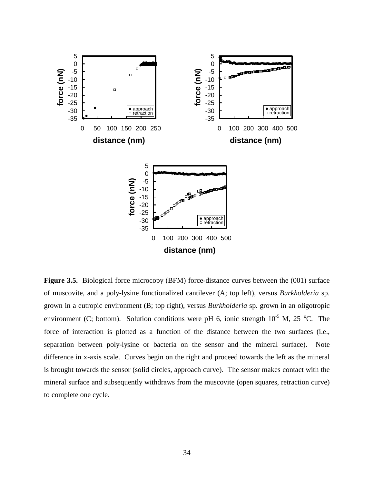

Figure 3.5. Biological force microcopy (BFM) force-distance curves between the (001) surface of muscovite, and a poly-lysine functionalized cantilever (A; top left), versus *Burkholderia* sp. grown in a eutropic environment (B; top right), versus *Burkholderia* sp. grown in an oligotropic environment (C; bottom). Solution conditions were pH 6, ionic strength  $10^{-5}$  M, 25 °C. The force of interaction is plotted as a function of the distance between the two surfaces (i.e., separation between poly-lysine or bacteria on the sensor and the mineral surface). Note difference in x-axis scale. Curves begin on the right and proceed towards the left as the mineral is brought towards the sensor (solid circles, approach curve). The sensor makes contact with the mineral surface and subsequently withdraws from the muscovite (open squares, retraction curve) to complete one cycle.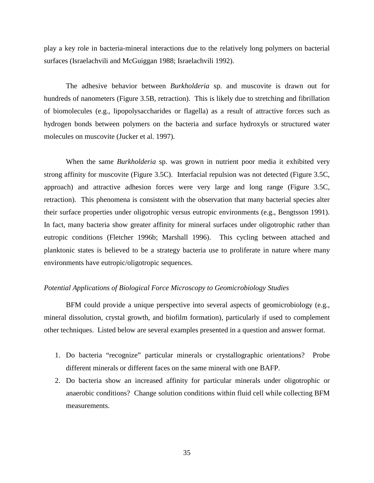play a key role in bacteria-mineral interactions due to the relatively long polymers on bacterial surfaces (Israelachvili and McGuiggan 1988; Israelachvili 1992).

The adhesive behavior between *Burkholderia* sp. and muscovite is drawn out for hundreds of nanometers (Figure 3.5B, retraction). This is likely due to stretching and fibrillation of biomolecules (e.g., lipopolysaccharides or flagella) as a result of attractive forces such as hydrogen bonds between polymers on the bacteria and surface hydroxyls or structured water molecules on muscovite (Jucker et al. 1997).

When the same *Burkholderia* sp. was grown in nutrient poor media it exhibited very strong affinity for muscovite (Figure 3.5C). Interfacial repulsion was not detected (Figure 3.5C, approach) and attractive adhesion forces were very large and long range (Figure 3.5C, retraction). This phenomena is consistent with the observation that many bacterial species alter their surface properties under oligotrophic versus eutropic environments (e.g., Bengtsson 1991). In fact, many bacteria show greater affinity for mineral surfaces under oligotrophic rather than eutropic conditions (Fletcher 1996b; Marshall 1996). This cycling between attached and planktonic states is believed to be a strategy bacteria use to proliferate in nature where many environments have eutropic/oligotropic sequences.

### *Potential Applications of Biological Force Microscopy to Geomicrobiology Studies*

BFM could provide a unique perspective into several aspects of geomicrobiology (e.g., mineral dissolution, crystal growth, and biofilm formation), particularly if used to complement other techniques. Listed below are several examples presented in a question and answer format.

- 1. Do bacteria "recognize" particular minerals or crystallographic orientations? Probe different minerals or different faces on the same mineral with one BAFP.
- 2. Do bacteria show an increased affinity for particular minerals under oligotrophic or anaerobic conditions? Change solution conditions within fluid cell while collecting BFM measurements.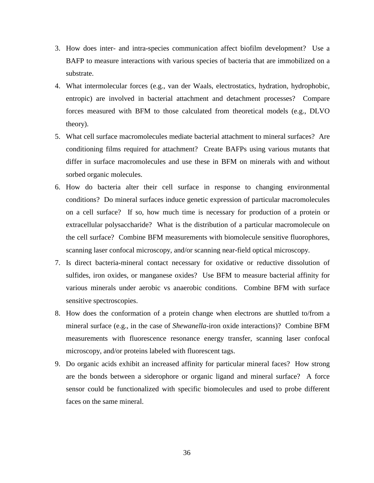- 3. How does inter- and intra-species communication affect biofilm development? Use a BAFP to measure interactions with various species of bacteria that are immobilized on a substrate.
- 4. What intermolecular forces (e.g., van der Waals, electrostatics, hydration, hydrophobic, entropic) are involved in bacterial attachment and detachment processes? Compare forces measured with BFM to those calculated from theoretical models (e.g., DLVO theory).
- 5. What cell surface macromolecules mediate bacterial attachment to mineral surfaces? Are conditioning films required for attachment? Create BAFPs using various mutants that differ in surface macromolecules and use these in BFM on minerals with and without sorbed organic molecules.
- 6. How do bacteria alter their cell surface in response to changing environmental conditions? Do mineral surfaces induce genetic expression of particular macromolecules on a cell surface? If so, how much time is necessary for production of a protein or extracellular polysaccharide? What is the distribution of a particular macromolecule on the cell surface? Combine BFM measurements with biomolecule sensitive fluorophores, scanning laser confocal microscopy, and/or scanning near-field optical microscopy.
- 7. Is direct bacteria-mineral contact necessary for oxidative or reductive dissolution of sulfides, iron oxides, or manganese oxides? Use BFM to measure bacterial affinity for various minerals under aerobic vs anaerobic conditions. Combine BFM with surface sensitive spectroscopies.
- 8. How does the conformation of a protein change when electrons are shuttled to/from a mineral surface (e.g., in the case of *Shewanella*-iron oxide interactions)? Combine BFM measurements with fluorescence resonance energy transfer, scanning laser confocal microscopy, and/or proteins labeled with fluorescent tags.
- 9. Do organic acids exhibit an increased affinity for particular mineral faces? How strong are the bonds between a siderophore or organic ligand and mineral surface? A force sensor could be functionalized with specific biomolecules and used to probe different faces on the same mineral.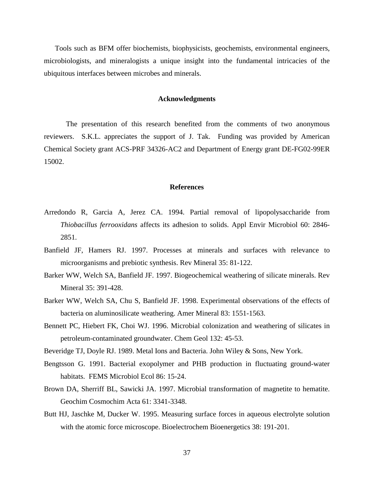Tools such as BFM offer biochemists, biophysicists, geochemists, environmental engineers, microbiologists, and mineralogists a unique insight into the fundamental intricacies of the ubiquitous interfaces between microbes and minerals.

#### **Acknowledgments**

The presentation of this research benefited from the comments of two anonymous reviewers. S.K.L. appreciates the support of J. Tak. Funding was provided by American Chemical Society grant ACS-PRF 34326-AC2 and Department of Energy grant DE-FG02-99ER 15002.

#### **References**

- Arredondo R, Garcia A, Jerez CA. 1994. Partial removal of lipopolysaccharide from *Thiobacillus ferrooxidans* affects its adhesion to solids. Appl Envir Microbiol 60: 2846- 2851.
- Banfield JF, Hamers RJ. 1997. Processes at minerals and surfaces with relevance to microorganisms and prebiotic synthesis. Rev Mineral 35: 81-122.
- Barker WW, Welch SA, Banfield JF. 1997. Biogeochemical weathering of silicate minerals. Rev Mineral 35: 391-428.
- Barker WW, Welch SA, Chu S, Banfield JF. 1998. Experimental observations of the effects of bacteria on aluminosilicate weathering. Amer Mineral 83: 1551-1563.
- Bennett PC, Hiebert FK, Choi WJ. 1996. Microbial colonization and weathering of silicates in petroleum-contaminated groundwater. Chem Geol 132: 45-53.
- Beveridge TJ, Doyle RJ. 1989. Metal Ions and Bacteria. John Wiley & Sons, New York.
- Bengtsson G. 1991. Bacterial exopolymer and PHB production in fluctuating ground-water habitats. FEMS Microbiol Ecol 86: 15-24.
- Brown DA, Sherriff BL, Sawicki JA. 1997. Microbial transformation of magnetite to hematite. Geochim Cosmochim Acta 61: 3341-3348.
- Butt HJ, Jaschke M, Ducker W. 1995. Measuring surface forces in aqueous electrolyte solution with the atomic force microscope. Bioelectrochem Bioenergetics 38: 191-201.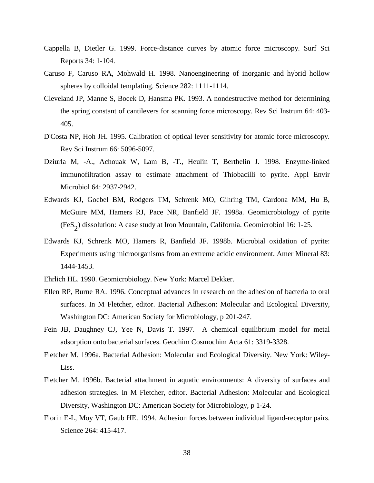- Cappella B, Dietler G. 1999. Force-distance curves by atomic force microscopy. Surf Sci Reports 34: 1-104.
- Caruso F, Caruso RA, Mohwald H. 1998. Nanoengineering of inorganic and hybrid hollow spheres by colloidal templating. Science 282: 1111-1114.
- Cleveland JP, Manne S, Bocek D, Hansma PK. 1993. A nondestructive method for determining the spring constant of cantilevers for scanning force microscopy. Rev Sci Instrum 64: 403- 405.
- D'Costa NP, Hoh JH. 1995. Calibration of optical lever sensitivity for atomic force microscopy. Rev Sci Instrum 66: 5096-5097.
- Dziurla M, -A., Achouak W, Lam B, -T., Heulin T, Berthelin J. 1998. Enzyme-linked immunofiltration assay to estimate attachment of Thiobacilli to pyrite. Appl Envir Microbiol 64: 2937-2942.
- Edwards KJ, Goebel BM, Rodgers TM, Schrenk MO, Gihring TM, Cardona MM, Hu B, McGuire MM, Hamers RJ, Pace NR, Banfield JF. 1998a. Geomicrobiology of pyrite  $(F \cdot S_2)$  dissolution: A case study at Iron Mountain, California. Geomicrobiol 16: 1-25.
- Edwards KJ, Schrenk MO, Hamers R, Banfield JF. 1998b. Microbial oxidation of pyrite: Experiments using microorganisms from an extreme acidic environment. Amer Mineral 83: 1444-1453.
- Ehrlich HL. 1990. Geomicrobiology. New York: Marcel Dekker.
- Ellen RP, Burne RA. 1996. Conceptual advances in research on the adhesion of bacteria to oral surfaces. In M Fletcher, editor. Bacterial Adhesion: Molecular and Ecological Diversity, Washington DC: American Society for Microbiology, p 201-247.
- Fein JB, Daughney CJ, Yee N, Davis T. 1997. A chemical equilibrium model for metal adsorption onto bacterial surfaces. Geochim Cosmochim Acta 61: 3319-3328.
- Fletcher M. 1996a. Bacterial Adhesion: Molecular and Ecological Diversity. New York: Wiley-Liss.
- Fletcher M. 1996b. Bacterial attachment in aquatic environments: A diversity of surfaces and adhesion strategies. In M Fletcher, editor. Bacterial Adhesion: Molecular and Ecological Diversity, Washington DC: American Society for Microbiology, p 1-24.
- Florin E-L, Moy VT, Gaub HE. 1994. Adhesion forces between individual ligand-receptor pairs. Science 264: 415-417.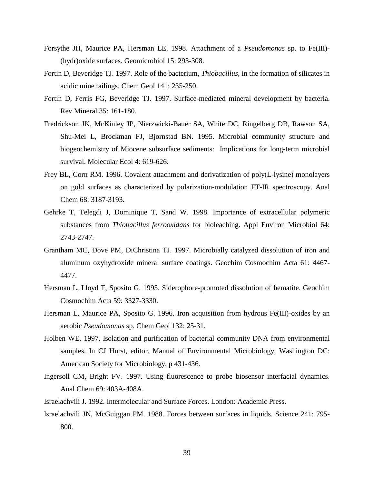- Forsythe JH, Maurice PA, Hersman LE. 1998. Attachment of a *Pseudomonas* sp. to Fe(III)- (hydr)oxide surfaces. Geomicrobiol 15: 293-308.
- Fortin D, Beveridge TJ. 1997. Role of the bacterium, *Thiobacillus*, in the formation of silicates in acidic mine tailings. Chem Geol 141: 235-250.
- Fortin D, Ferris FG, Beveridge TJ. 1997. Surface-mediated mineral development by bacteria. Rev Mineral 35: 161-180.
- Fredrickson JK, McKinley JP, Nierzwicki-Bauer SA, White DC, Ringelberg DB, Rawson SA, Shu-Mei L, Brockman FJ, Bjornstad BN. 1995. Microbial community structure and biogeochemistry of Miocene subsurface sediments: Implications for long-term microbial survival. Molecular Ecol 4: 619-626.
- Frey BL, Corn RM. 1996. Covalent attachment and derivatization of poly(L-lysine) monolayers on gold surfaces as characterized by polarization-modulation FT-IR spectroscopy. Anal Chem 68: 3187-3193.
- Gehrke T, Telegdi J, Dominique T, Sand W. 1998. Importance of extracellular polymeric substances from *Thiobacillus ferrooxidans* for bioleaching. Appl Environ Microbiol 64: 2743-2747.
- Grantham MC, Dove PM, DiChristina TJ. 1997. Microbially catalyzed dissolution of iron and aluminum oxyhydroxide mineral surface coatings. Geochim Cosmochim Acta 61: 4467- 4477.
- Hersman L, Lloyd T, Sposito G. 1995. Siderophore-promoted dissolution of hematite. Geochim Cosmochim Acta 59: 3327-3330.
- Hersman L, Maurice PA, Sposito G. 1996. Iron acquisition from hydrous Fe(III)-oxides by an aerobic *Pseudomonas* sp. Chem Geol 132: 25-31.
- Holben WE. 1997. Isolation and purification of bacterial community DNA from environmental samples. In CJ Hurst, editor. Manual of Environmental Microbiology, Washington DC: American Society for Microbiology, p 431-436.
- Ingersoll CM, Bright FV. 1997. Using fluorescence to probe biosensor interfacial dynamics. Anal Chem 69: 403A-408A.
- Israelachvili J. 1992. Intermolecular and Surface Forces. London: Academic Press.
- Israelachvili JN, McGuiggan PM. 1988. Forces between surfaces in liquids. Science 241: 795- 800.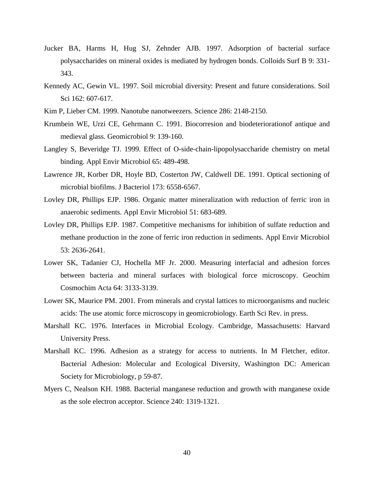- Jucker BA, Harms H, Hug SJ, Zehnder AJB. 1997. Adsorption of bacterial surface polysaccharides on mineral oxides is mediated by hydrogen bonds. Colloids Surf B 9: 331- 343.
- Kennedy AC, Gewin VL. 1997. Soil microbial diversity: Present and future considerations. Soil Sci 162: 607-617.
- Kim P, Lieber CM. 1999. Nanotube nanotweezers. Science 286: 2148-2150.
- Krumbein WE, Urzi CE, Gehrmann C. 1991. Biocorresion and biodeteriorationof antique and medieval glass. Geomicrobiol 9: 139-160.
- Langley S, Beveridge TJ. 1999. Effect of O-side-chain-lipopolysaccharide chemistry on metal binding. Appl Envir Microbiol 65: 489-498.
- Lawrence JR, Korber DR, Hoyle BD, Costerton JW, Caldwell DE. 1991. Optical sectioning of microbial biofilms. J Bacteriol 173: 6558-6567.
- Lovley DR, Phillips EJP. 1986. Organic matter mineralization with reduction of ferric iron in anaerobic sediments. Appl Envir Microbiol 51: 683-689.
- Lovley DR, Phillips EJP. 1987. Competitive mechanisms for inhibition of sulfate reduction and methane production in the zone of ferric iron reduction in sediments. Appl Envir Microbiol 53: 2636-2641.
- Lower SK, Tadanier CJ, Hochella MF Jr. 2000. Measuring interfacial and adhesion forces between bacteria and mineral surfaces with biological force microscopy. Geochim Cosmochim Acta 64: 3133-3139.
- Lower SK, Maurice PM. 2001. From minerals and crystal lattices to microorganisms and nucleic acids: The use atomic force microscopy in geomicrobiology. Earth Sci Rev. in press.
- Marshall KC. 1976. Interfaces in Microbial Ecology. Cambridge, Massachusetts: Harvard University Press.
- Marshall KC. 1996. Adhesion as a strategy for access to nutrients. In M Fletcher, editor. Bacterial Adhesion: Molecular and Ecological Diversity, Washington DC: American Society for Microbiology, p 59-87.
- Myers C, Nealson KH. 1988. Bacterial manganese reduction and growth with manganese oxide as the sole electron acceptor. Science 240: 1319-1321.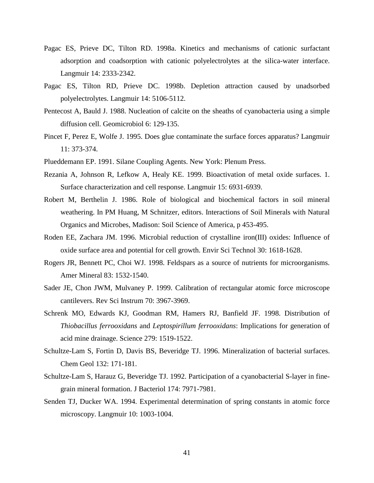- Pagac ES, Prieve DC, Tilton RD. 1998a. Kinetics and mechanisms of cationic surfactant adsorption and coadsorption with cationic polyelectrolytes at the silica-water interface. Langmuir 14: 2333-2342.
- Pagac ES, Tilton RD, Prieve DC. 1998b. Depletion attraction caused by unadsorbed polyelectrolytes. Langmuir 14: 5106-5112.
- Pentecost A, Bauld J. 1988. Nucleation of calcite on the sheaths of cyanobacteria using a simple diffusion cell. Geomicrobiol 6: 129-135.
- Pincet F, Perez E, Wolfe J. 1995. Does glue contaminate the surface forces apparatus? Langmuir 11: 373-374.
- Plueddemann EP. 1991. Silane Coupling Agents. New York: Plenum Press.
- Rezania A, Johnson R, Lefkow A, Healy KE. 1999. Bioactivation of metal oxide surfaces. 1. Surface characterization and cell response. Langmuir 15: 6931-6939.
- Robert M, Berthelin J. 1986. Role of biological and biochemical factors in soil mineral weathering. In PM Huang, M Schnitzer, editors. Interactions of Soil Minerals with Natural Organics and Microbes, Madison: Soil Science of America, p 453-495.
- Roden EE, Zachara JM. 1996. Microbial reduction of crystalline iron(III) oxides: Influence of oxide surface area and potential for cell growth. Envir Sci Technol 30: 1618-1628.
- Rogers JR, Bennett PC, Choi WJ. 1998. Feldspars as a source of nutrients for microorganisms. Amer Mineral 83: 1532-1540.
- Sader JE, Chon JWM, Mulvaney P. 1999. Calibration of rectangular atomic force microscope cantilevers. Rev Sci Instrum 70: 3967-3969.
- Schrenk MO, Edwards KJ, Goodman RM, Hamers RJ, Banfield JF. 1998. Distribution of *Thiobacillus ferrooxidans* and *Leptospirillum ferrooxidans*: Implications for generation of acid mine drainage. Science 279: 1519-1522.
- Schultze-Lam S, Fortin D, Davis BS, Beveridge TJ. 1996. Mineralization of bacterial surfaces. Chem Geol 132: 171-181.
- Schultze-Lam S, Harauz G, Beveridge TJ. 1992. Participation of a cyanobacterial S-layer in finegrain mineral formation. J Bacteriol 174: 7971-7981.
- Senden TJ, Ducker WA. 1994. Experimental determination of spring constants in atomic force microscopy. Langmuir 10: 1003-1004.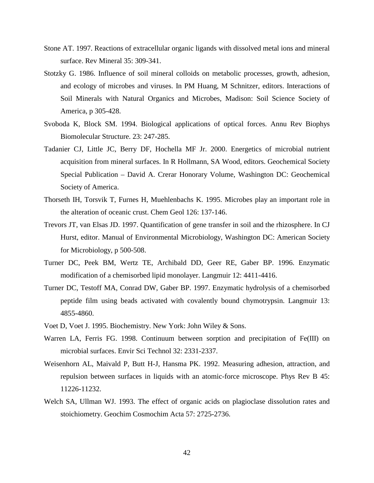- Stone AT. 1997. Reactions of extracellular organic ligands with dissolved metal ions and mineral surface. Rev Mineral 35: 309-341.
- Stotzky G. 1986. Influence of soil mineral colloids on metabolic processes, growth, adhesion, and ecology of microbes and viruses. In PM Huang, M Schnitzer, editors. Interactions of Soil Minerals with Natural Organics and Microbes, Madison: Soil Science Society of America, p 305-428.
- Svoboda K, Block SM. 1994. Biological applications of optical forces. Annu Rev Biophys Biomolecular Structure. 23: 247-285.
- Tadanier CJ, Little JC, Berry DF, Hochella MF Jr. 2000. Energetics of microbial nutrient acquisition from mineral surfaces. In R Hollmann, SA Wood, editors. Geochemical Society Special Publication – David A. Crerar Honorary Volume, Washington DC: Geochemical Society of America.
- Thorseth IH, Torsvik T, Furnes H, Muehlenbachs K. 1995. Microbes play an important role in the alteration of oceanic crust. Chem Geol 126: 137-146.
- Trevors JT, van Elsas JD. 1997. Quantification of gene transfer in soil and the rhizosphere. In CJ Hurst, editor. Manual of Environmental Microbiology, Washington DC: American Society for Microbiology, p 500-508.
- Turner DC, Peek BM, Wertz TE, Archibald DD, Geer RE, Gaber BP. 1996. Enzymatic modification of a chemisorbed lipid monolayer. Langmuir 12: 4411-4416.
- Turner DC, Testoff MA, Conrad DW, Gaber BP. 1997. Enzymatic hydrolysis of a chemisorbed peptide film using beads activated with covalently bound chymotrypsin. Langmuir 13: 4855-4860.
- Voet D, Voet J. 1995. Biochemistry. New York: John Wiley & Sons.
- Warren LA, Ferris FG. 1998. Continuum between sorption and precipitation of Fe(III) on microbial surfaces. Envir Sci Technol 32: 2331-2337.
- Weisenhorn AL, Maivald P, Butt H-J, Hansma PK. 1992. Measuring adhesion, attraction, and repulsion between surfaces in liquids with an atomic-force microscope. Phys Rev B 45: 11226-11232.
- Welch SA, Ullman WJ. 1993. The effect of organic acids on plagioclase dissolution rates and stoichiometry. Geochim Cosmochim Acta 57: 2725-2736.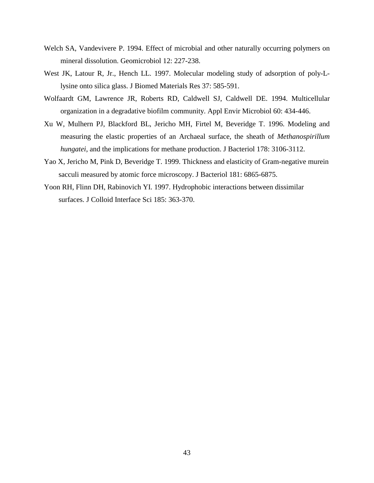- Welch SA, Vandevivere P. 1994. Effect of microbial and other naturally occurring polymers on mineral dissolution. Geomicrobiol 12: 227-238.
- West JK, Latour R, Jr., Hench LL. 1997. Molecular modeling study of adsorption of poly-Llysine onto silica glass. J Biomed Materials Res 37: 585-591.
- Wolfaardt GM, Lawrence JR, Roberts RD, Caldwell SJ, Caldwell DE. 1994. Multicellular organization in a degradative biofilm community. Appl Envir Microbiol 60: 434-446.
- Xu W, Mulhern PJ, Blackford BL, Jericho MH, Firtel M, Beveridge T. 1996. Modeling and measuring the elastic properties of an Archaeal surface, the sheath of *Methanospirillum hungatei*, and the implications for methane production. J Bacteriol 178: 3106-3112.
- Yao X, Jericho M, Pink D, Beveridge T. 1999. Thickness and elasticity of Gram-negative murein sacculi measured by atomic force microscopy. J Bacteriol 181: 6865-6875.
- Yoon RH, Flinn DH, Rabinovich YI. 1997. Hydrophobic interactions between dissimilar surfaces. J Colloid Interface Sci 185: 363-370.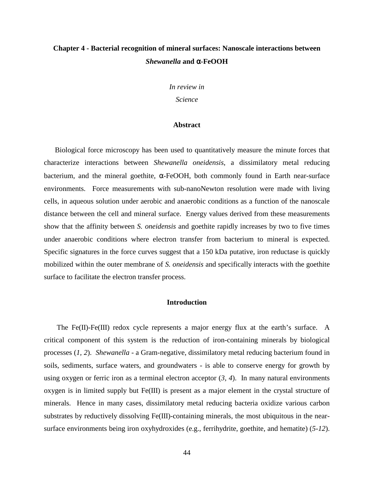## **Chapter 4 - Bacterial recognition of mineral surfaces: Nanoscale interactions between**  *Shewanella* **and** α**-FeOOH**

*In review in* 

*Science* 

#### **Abstract**

Biological force microscopy has been used to quantitatively measure the minute forces that characterize interactions between *Shewanella oneidensis*, a dissimilatory metal reducing bacterium, and the mineral goethite, α-FeOOH, both commonly found in Earth near-surface environments. Force measurements with sub-nanoNewton resolution were made with living cells, in aqueous solution under aerobic and anaerobic conditions as a function of the nanoscale distance between the cell and mineral surface. Energy values derived from these measurements show that the affinity between *S. oneidensis* and goethite rapidly increases by two to five times under anaerobic conditions where electron transfer from bacterium to mineral is expected. Specific signatures in the force curves suggest that a 150 kDa putative, iron reductase is quickly mobilized within the outer membrane of *S. oneidensis* and specifically interacts with the goethite surface to facilitate the electron transfer process.

### **Introduction**

 The Fe(II)-Fe(III) redox cycle represents a major energy flux at the earth's surface. A critical component of this system is the reduction of iron-containing minerals by biological processes (*1, 2*). *Shewanella* - a Gram-negative, dissimilatory metal reducing bacterium found in soils, sediments, surface waters, and groundwaters - is able to conserve energy for growth by using oxygen or ferric iron as a terminal electron acceptor (*3, 4*). In many natural environments oxygen is in limited supply but Fe(III) is present as a major element in the crystal structure of minerals. Hence in many cases, dissimilatory metal reducing bacteria oxidize various carbon substrates by reductively dissolving Fe(III)-containing minerals, the most ubiquitous in the nearsurface environments being iron oxyhydroxides (e.g., ferrihydrite, goethite, and hematite) (*5-12*).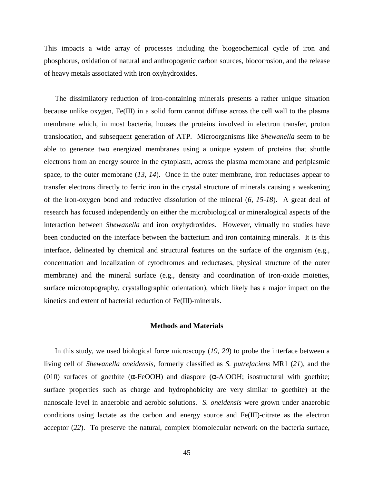This impacts a wide array of processes including the biogeochemical cycle of iron and phosphorus, oxidation of natural and anthropogenic carbon sources, biocorrosion, and the release of heavy metals associated with iron oxyhydroxides.

The dissimilatory reduction of iron-containing minerals presents a rather unique situation because unlike oxygen, Fe(III) in a solid form cannot diffuse across the cell wall to the plasma membrane which, in most bacteria, houses the proteins involved in electron transfer, proton translocation, and subsequent generation of ATP. Microorganisms like *Shewanella* seem to be able to generate two energized membranes using a unique system of proteins that shuttle electrons from an energy source in the cytoplasm, across the plasma membrane and periplasmic space, to the outer membrane (*13, 14*). Once in the outer membrane, iron reductases appear to transfer electrons directly to ferric iron in the crystal structure of minerals causing a weakening of the iron-oxygen bond and reductive dissolution of the mineral (*6, 15-18*). A great deal of research has focused independently on either the microbiological or mineralogical aspects of the interaction between *Shewanella* and iron oxyhydroxides. However, virtually no studies have been conducted on the interface between the bacterium and iron containing minerals. It is this interface, delineated by chemical and structural features on the surface of the organism (e.g., concentration and localization of cytochromes and reductases, physical structure of the outer membrane) and the mineral surface (e.g., density and coordination of iron-oxide moieties, surface microtopography, crystallographic orientation), which likely has a major impact on the kinetics and extent of bacterial reduction of Fe(III)-minerals.

#### **Methods and Materials**

In this study, we used biological force microscopy (*19, 20*) to probe the interface between a living cell of *Shewanella oneidensis*, formerly classified as *S. putrefaciens* MR1 (*21*), and the (010) surfaces of goethite ( $\alpha$ -FeOOH) and diaspore ( $\alpha$ -AlOOH; isostructural with goethite; surface properties such as charge and hydrophobicity are very similar to goethite) at the nanoscale level in anaerobic and aerobic solutions. *S. oneidensis* were grown under anaerobic conditions using lactate as the carbon and energy source and Fe(III)-citrate as the electron acceptor (*22*). To preserve the natural, complex biomolecular network on the bacteria surface,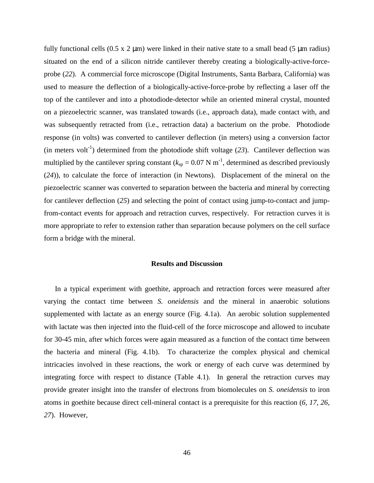fully functional cells  $(0.5 \times 2 \mu m)$  were linked in their native state to a small bead (5  $\mu m$  radius) situated on the end of a silicon nitride cantilever thereby creating a biologically-active-forceprobe (*22*). A commercial force microscope (Digital Instruments, Santa Barbara, California) was used to measure the deflection of a biologically-active-force-probe by reflecting a laser off the top of the cantilever and into a photodiode-detector while an oriented mineral crystal, mounted on a piezoelectric scanner, was translated towards (i.e., approach data), made contact with, and was subsequently retracted from (i.e., retraction data) a bacterium on the probe. Photodiode response (in volts) was converted to cantilever deflection (in meters) using a conversion factor (in meters volt<sup>-1</sup>) determined from the photodiode shift voltage  $(23)$ . Cantilever deflection was multiplied by the cantilever spring constant ( $k_{sp} = 0.07$  N m<sup>-1</sup>, determined as described previously (*24*)), to calculate the force of interaction (in Newtons). Displacement of the mineral on the piezoelectric scanner was converted to separation between the bacteria and mineral by correcting for cantilever deflection (*25*) and selecting the point of contact using jump-to-contact and jumpfrom-contact events for approach and retraction curves, respectively. For retraction curves it is more appropriate to refer to extension rather than separation because polymers on the cell surface form a bridge with the mineral.

#### **Results and Discussion**

In a typical experiment with goethite, approach and retraction forces were measured after varying the contact time between *S. oneidensis* and the mineral in anaerobic solutions supplemented with lactate as an energy source (Fig. 4.1a). An aerobic solution supplemented with lactate was then injected into the fluid-cell of the force microscope and allowed to incubate for 30-45 min, after which forces were again measured as a function of the contact time between the bacteria and mineral (Fig. 4.1b). To characterize the complex physical and chemical intricacies involved in these reactions, the work or energy of each curve was determined by integrating force with respect to distance (Table 4.1). In general the retraction curves may provide greater insight into the transfer of electrons from biomolecules on *S. oneidensis* to iron atoms in goethite because direct cell-mineral contact is a prerequisite for this reaction (*6, 17, 26, 27*). However,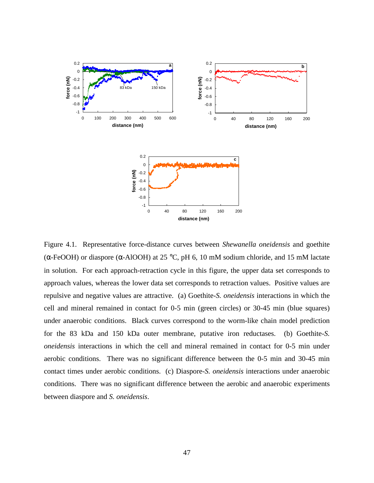

Figure 4.1. Representative force-distance curves between *Shewanella oneidensis* and goethite (α-FeOOH) or diaspore (α-AlOOH) at 25 °C, pH 6, 10 mM sodium chloride, and 15 mM lactate in solution. For each approach-retraction cycle in this figure, the upper data set corresponds to approach values, whereas the lower data set corresponds to retraction values. Positive values are repulsive and negative values are attractive. (a) Goethite-*S. oneidensis* interactions in which the cell and mineral remained in contact for 0-5 min (green circles) or 30-45 min (blue squares) under anaerobic conditions. Black curves correspond to the worm-like chain model prediction for the 83 kDa and 150 kDa outer membrane, putative iron reductases. (b) Goethite-*S. oneidensis* interactions in which the cell and mineral remained in contact for 0-5 min under aerobic conditions. There was no significant difference between the 0-5 min and 30-45 min contact times under aerobic conditions. (c) Diaspore-*S. oneidensis* interactions under anaerobic conditions. There was no significant difference between the aerobic and anaerobic experiments between diaspore and *S. oneidensis*.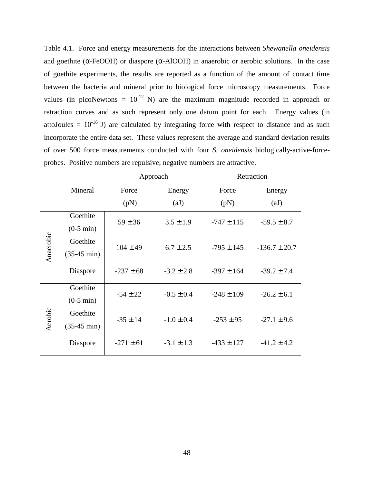Table 4.1. Force and energy measurements for the interactions between *Shewanella oneidensis* and goethite ( $\alpha$ -FeOOH) or diaspore ( $\alpha$ -AlOOH) in anaerobic or aerobic solutions. In the case of goethite experiments, the results are reported as a function of the amount of contact time between the bacteria and mineral prior to biological force microscopy measurements. Force values (in picoNewtons =  $10^{-12}$  N) are the maximum magnitude recorded in approach or retraction curves and as such represent only one datum point for each. Energy values (in attoJoules =  $10^{-18}$  J) are calculated by integrating force with respect to distance and as such incorporate the entire data set. These values represent the average and standard deviation results of over 500 force measurements conducted with four *S. oneidensis* biologically-active-forceprobes. Positive numbers are repulsive; negative numbers are attractive.

|           |                       | Approach      |                | Retraction     |                   |                 |
|-----------|-----------------------|---------------|----------------|----------------|-------------------|-----------------|
|           | Mineral               | Force         | Energy         | Force          | Energy            |                 |
|           |                       | (pN)          | (aJ)           | (pN)           | (aJ)              |                 |
| Anaerobic | Goethite              | $59 \pm 36$   |                | $3.5 \pm 1.9$  | $-747 \pm 115$    | $-59.5 \pm 8.7$ |
|           | $(0-5 \text{ min})$   |               |                |                |                   |                 |
|           | Goethite              | $104 \pm 49$  | $6.7 \pm 2.5$  | $-795 \pm 145$ | $-136.7 \pm 20.7$ |                 |
|           | $(35-45 \text{ min})$ |               |                |                |                   |                 |
|           | Diaspore              | $-237 \pm 68$ | $-3.2 \pm 2.8$ | $-397 \pm 164$ | $-39.2 \pm 7.4$   |                 |
| Aerobic   | Goethite              | $-54 \pm 22$  | $-0.5 \pm 0.4$ | $-248 \pm 109$ | $-26.2 \pm 6.1$   |                 |
|           | $(0-5 \text{ min})$   |               |                |                |                   |                 |
|           | Goethite              | $-35 \pm 14$  | $-1.0 \pm 0.4$ | $-253 \pm 95$  | $-27.1 \pm 9.6$   |                 |
|           | $(35-45 \text{ min})$ |               |                |                |                   |                 |
|           | Diaspore              | $-271 \pm 61$ | $-3.1 \pm 1.3$ | $-433 \pm 127$ | $-41.2 \pm 4.2$   |                 |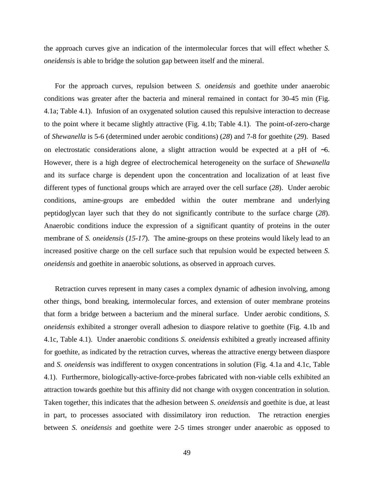the approach curves give an indication of the intermolecular forces that will effect whether *S. oneidensis* is able to bridge the solution gap between itself and the mineral.

For the approach curves, repulsion between *S. oneidensis* and goethite under anaerobic conditions was greater after the bacteria and mineral remained in contact for 30-45 min (Fig. 4.1a; Table 4.1). Infusion of an oxygenated solution caused this repulsive interaction to decrease to the point where it became slightly attractive (Fig. 4.1b; Table 4.1). The point-of-zero-charge of *Shewanella* is 5-6 (determined under aerobic conditions) (*28*) and 7-8 for goethite (*29*). Based on electrostatic considerations alone, a slight attraction would be expected at a pH of ∼6. However, there is a high degree of electrochemical heterogeneity on the surface of *Shewanella* and its surface charge is dependent upon the concentration and localization of at least five different types of functional groups which are arrayed over the cell surface (*28*). Under aerobic conditions, amine-groups are embedded within the outer membrane and underlying peptidoglycan layer such that they do not significantly contribute to the surface charge (*28*). Anaerobic conditions induce the expression of a significant quantity of proteins in the outer membrane of *S. oneidensis* (*15-17*). The amine-groups on these proteins would likely lead to an increased positive charge on the cell surface such that repulsion would be expected between *S. oneidensis* and goethite in anaerobic solutions, as observed in approach curves.

Retraction curves represent in many cases a complex dynamic of adhesion involving, among other things, bond breaking, intermolecular forces, and extension of outer membrane proteins that form a bridge between a bacterium and the mineral surface. Under aerobic conditions, *S. oneidensis* exhibited a stronger overall adhesion to diaspore relative to goethite (Fig. 4.1b and 4.1c, Table 4.1). Under anaerobic conditions *S. oneidensis* exhibited a greatly increased affinity for goethite, as indicated by the retraction curves, whereas the attractive energy between diaspore and *S. oneidensis* was indifferent to oxygen concentrations in solution (Fig. 4.1a and 4.1c, Table 4.1). Furthermore, biologically-active-force-probes fabricated with non-viable cells exhibited an attraction towards goethite but this affinity did not change with oxygen concentration in solution. Taken together, this indicates that the adhesion between *S*. *oneidensis* and goethite is due, at least in part, to processes associated with dissimilatory iron reduction. The retraction energies between *S. oneidensis* and goethite were 2-5 times stronger under anaerobic as opposed to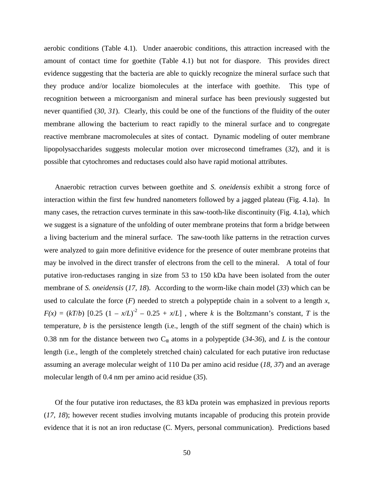aerobic conditions (Table 4.1). Under anaerobic conditions, this attraction increased with the amount of contact time for goethite (Table 4.1) but not for diaspore. This provides direct evidence suggesting that the bacteria are able to quickly recognize the mineral surface such that they produce and/or localize biomolecules at the interface with goethite. This type of recognition between a microorganism and mineral surface has been previously suggested but never quantified (*30, 31*). Clearly, this could be one of the functions of the fluidity of the outer membrane allowing the bacterium to react rapidly to the mineral surface and to congregate reactive membrane macromolecules at sites of contact. Dynamic modeling of outer membrane lipopolysaccharides suggests molecular motion over microsecond timeframes (*32*), and it is possible that cytochromes and reductases could also have rapid motional attributes.

Anaerobic retraction curves between goethite and *S. oneidensis* exhibit a strong force of interaction within the first few hundred nanometers followed by a jagged plateau (Fig. 4.1a). In many cases, the retraction curves terminate in this saw-tooth-like discontinuity (Fig. 4.1a), which we suggest is a signature of the unfolding of outer membrane proteins that form a bridge between a living bacterium and the mineral surface. The saw-tooth like patterns in the retraction curves were analyzed to gain more definitive evidence for the presence of outer membrane proteins that may be involved in the direct transfer of electrons from the cell to the mineral. A total of four putative iron-reductases ranging in size from 53 to 150 kDa have been isolated from the outer membrane of *S. oneidensis* (*17, 18*). According to the worm-like chain model (*33*) which can be used to calculate the force  $(F)$  needed to stretch a polypeptide chain in a solvent to a length x,  $F(x) = (kT/b) [0.25 (1 - x/L)^2 - 0.25 + x/L]$ , where *k* is the Boltzmann's constant, *T* is the temperature, *b* is the persistence length (i.e., length of the stiff segment of the chain) which is 0.38 nm for the distance between two  $C_{\alpha}$  atoms in a polypeptide (34-36), and *L* is the contour length (i.e., length of the completely stretched chain) calculated for each putative iron reductase assuming an average molecular weight of 110 Da per amino acid residue (*18, 37*) and an average molecular length of 0.4 nm per amino acid residue (*35*).

Of the four putative iron reductases, the 83 kDa protein was emphasized in previous reports (*17, 18*); however recent studies involving mutants incapable of producing this protein provide evidence that it is not an iron reductase (C. Myers, personal communication). Predictions based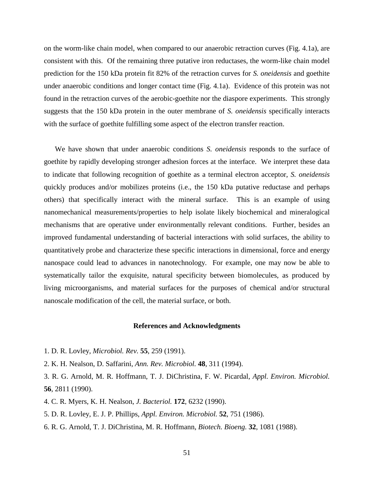on the worm-like chain model, when compared to our anaerobic retraction curves (Fig. 4.1a), are consistent with this. Of the remaining three putative iron reductases, the worm-like chain model prediction for the 150 kDa protein fit 82% of the retraction curves for *S. oneidensis* and goethite under anaerobic conditions and longer contact time (Fig. 4.1a). Evidence of this protein was not found in the retraction curves of the aerobic-goethite nor the diaspore experiments. This strongly suggests that the 150 kDa protein in the outer membrane of *S. oneidensis* specifically interacts with the surface of goethite fulfilling some aspect of the electron transfer reaction.

We have shown that under anaerobic conditions *S. oneidensis* responds to the surface of goethite by rapidly developing stronger adhesion forces at the interface. We interpret these data to indicate that following recognition of goethite as a terminal electron acceptor, *S. oneidensis* quickly produces and/or mobilizes proteins (i.e., the 150 kDa putative reductase and perhaps others) that specifically interact with the mineral surface. This is an example of using nanomechanical measurements/properties to help isolate likely biochemical and mineralogical mechanisms that are operative under environmentally relevant conditions. Further, besides an improved fundamental understanding of bacterial interactions with solid surfaces, the ability to quantitatively probe and characterize these specific interactions in dimensional, force and energy nanospace could lead to advances in nanotechnology. For example, one may now be able to systematically tailor the exquisite, natural specificity between biomolecules, as produced by living microorganisms, and material surfaces for the purposes of chemical and/or structural nanoscale modification of the cell, the material surface, or both.

#### **References and Acknowledgments**

- 1. D. R. Lovley, *Microbiol. Rev.* **55**, 259 (1991).
- 2. K. H. Nealson, D. Saffarini, *Ann. Rev. Microbiol.* **48**, 311 (1994).
- 3. R. G. Arnold, M. R. Hoffmann, T. J. DiChristina, F. W. Picardal, *Appl. Environ. Microbiol.* **56**, 2811 (1990).
- 4. C. R. Myers, K. H. Nealson, *J. Bacteriol.* **172**, 6232 (1990).
- 5. D. R. Lovley, E. J. P. Phillips, *Appl. Environ. Microbiol.* **52**, 751 (1986).
- 6. R. G. Arnold, T. J. DiChristina, M. R. Hoffmann, *Biotech. Bioeng.* **32**, 1081 (1988).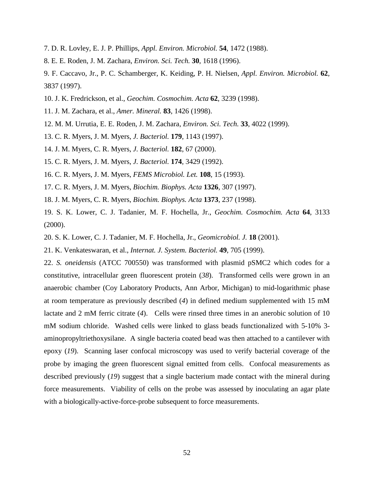- 7. D. R. Lovley, E. J. P. Phillips, *Appl. Environ. Microbiol.* **54**, 1472 (1988).
- 8. E. E. Roden, J. M. Zachara, *Environ. Sci. Tech.* **30**, 1618 (1996).

9. F. Caccavo, Jr., P. C. Schamberger, K. Keiding, P. H. Nielsen, *Appl. Environ. Microbiol.* **62**, 3837 (1997).

- 10. J. K. Fredrickson, et al., *Geochim. Cosmochim. Acta* **62**, 3239 (1998).
- 11. J. M. Zachara, et al., *Amer. Mineral.* **83**, 1426 (1998).
- 12. M. M. Urrutia, E. E. Roden, J. M. Zachara, *Environ. Sci. Tech.* **33**, 4022 (1999).
- 13. C. R. Myers, J. M. Myers, *J. Bacteriol.* **179**, 1143 (1997).
- 14. J. M. Myers, C. R. Myers, *J. Bacteriol.* **182**, 67 (2000).
- 15. C. R. Myers, J. M. Myers, *J. Bacteriol.* **174**, 3429 (1992).
- 16. C. R. Myers, J. M. Myers, *FEMS Microbiol. Let.* **108**, 15 (1993).
- 17. C. R. Myers, J. M. Myers, *Biochim. Biophys. Acta* **1326**, 307 (1997).
- 18. J. M. Myers, C. R. Myers, *Biochim. Biophys. Acta* **1373**, 237 (1998).
- 19. S. K. Lower, C. J. Tadanier, M. F. Hochella, Jr., *Geochim. Cosmochim. Acta* **64**, 3133 (2000).
- 20. S. K. Lower, C. J. Tadanier, M. F. Hochella, Jr., *Geomicrobiol. J.* **18** (2001).
- 21. K. Venkateswaran, et al., *Internat. J. System. Bacteriol.* **49**, 705 (1999).

22. *S. oneidensis* (ATCC 700550) was transformed with plasmid pSMC2 which codes for a constitutive, intracellular green fluorescent protein (*38*). Transformed cells were grown in an anaerobic chamber (Coy Laboratory Products, Ann Arbor, Michigan) to mid-logarithmic phase at room temperature as previously described (*4*) in defined medium supplemented with 15 mM lactate and 2 mM ferric citrate (*4*). Cells were rinsed three times in an anerobic solution of 10 mM sodium chloride. Washed cells were linked to glass beads functionalized with 5-10% 3 aminopropyltriethoxysilane. A single bacteria coated bead was then attached to a cantilever with epoxy (*19*). Scanning laser confocal microscopy was used to verify bacterial coverage of the probe by imaging the green fluorescent signal emitted from cells. Confocal measurements as described previously (*19*) suggest that a single bacterium made contact with the mineral during force measurements. Viability of cells on the probe was assessed by inoculating an agar plate with a biologically-active-force-probe subsequent to force measurements.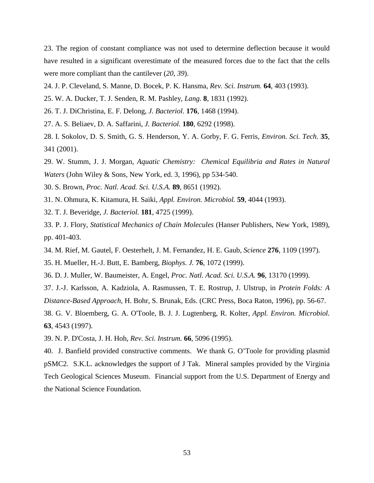23. The region of constant compliance was not used to determine deflection because it would have resulted in a significant overestimate of the measured forces due to the fact that the cells were more compliant than the cantilever (*20, 39*).

- 24. J. P. Cleveland, S. Manne, D. Bocek, P. K. Hansma, *Rev. Sci. Instrum.* **64**, 403 (1993).
- 25. W. A. Ducker, T. J. Senden, R. M. Pashley, *Lang.* **8**, 1831 (1992).
- 26. T. J. DiChristina, E. F. Delong, *J. Bacteriol.* **176**, 1468 (1994).
- 27. A. S. Beliaev, D. A. Saffarini, *J. Bacteriol.* **180**, 6292 (1998).
- 28. I. Sokolov, D. S. Smith, G. S. Henderson, Y. A. Gorby, F. G. Ferris, *Environ. Sci. Tech.* **35**, 341 (2001).
- 29. W. Stumm, J. J. Morgan, *Aquatic Chemistry: Chemical Equilibria and Rates in Natural Waters* (John Wiley & Sons, New York, ed. 3, 1996), pp 534-540.
- 30. S. Brown, *Proc. Natl. Acad. Sci. U.S.A.* **89**, 8651 (1992).
- 31. N. Ohmura, K. Kitamura, H. Saiki, *Appl. Environ. Microbiol.* **59**, 4044 (1993).
- 32. T. J. Beveridge, *J. Bacteriol.* **181**, 4725 (1999).
- 33. P. J. Flory, *Statistical Mechanics of Chain Molecules* (Hanser Publishers, New York, 1989), pp. 401-403.
- 34. M. Rief, M. Gautel, F. Oesterhelt, J. M. Fernandez, H. E. Gaub, *Science* **276**, 1109 (1997).
- 35. H. Mueller, H.-J. Butt, E. Bamberg, *Biophys. J.* **76**, 1072 (1999).
- 36. D. J. Muller, W. Baumeister, A. Engel, *Proc. Natl. Acad. Sci. U.S.A.* **96**, 13170 (1999).
- 37. J.-J. Karlsson, A. Kadziola, A. Rasmussen, T. E. Rostrup, J. Ulstrup, in *Protein Folds: A Distance-Based Approach,* H. Bohr, S. Brunak, Eds. (CRC Press, Boca Raton, 1996), pp. 56-67.
- 38. G. V. Bloemberg, G. A. O'Toole, B. J. J. Lugtenberg, R. Kolter, *Appl. Environ. Microbiol.* **63**, 4543 (1997).
- 39. N. P. D'Costa, J. H. Hoh, *Rev. Sci. Instrum.* **66**, 5096 (1995).
- 40. J. Banfield provided constructive comments. We thank G. O'Toole for providing plasmid pSMC2. S.K.L. acknowledges the support of J Tak. Mineral samples provided by the Virginia Tech Geological Sciences Museum. Financial support from the U.S. Department of Energy and the National Science Foundation.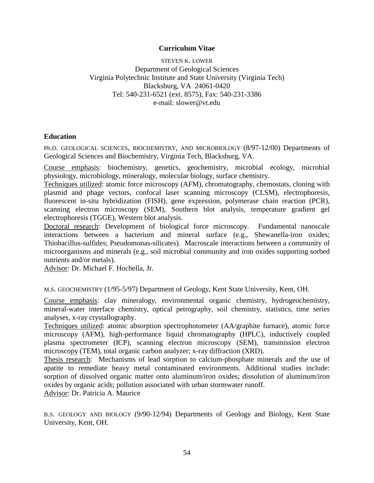## **Curriculum Vitae**

STEVEN K. LOWER Department of Geological Sciences Virginia Polytechnic Institute and State University (Virginia Tech) Blacksburg, VA 24061-0420 Tel: 540-231-6521 (ext. 8575), Fax: 540-231-3386 e-mail: slower@vt.edu

## **Education**

Ph.D. GEOLOGICAL SCIENCES, BIOCHEMISTRY, AND MICROBIOLOGY (8/97-12/00) Departments of Geological Sciences and Biochemistry, Virginia Tech, Blacksburg, VA.

Course emphasis: biochemistry, genetics, geochemistry, microbial ecology, microbial physiology, microbiology, mineralogy, molecular biology, surface chemistry.

Techniques utilized: atomic force microscopy (AFM), chromatography, chemostats, cloning with plasmid and phage vectors, confocal laser scanning microscopy (CLSM), electrophoresis, fluorescent in-situ hybridization (FISH), gene expression, polymerase chain reaction (PCR), scanning electron microscopy (SEM), Southern blot analysis, temperature gradient gel electrophoresis (TGGE), Western blot analysis.

Doctoral research: Development of biological force microscopy. Fundamental nanoscale interactions between a bacterium and mineral surface (e.g., Shewanella-iron oxides; Thiobacillus-sulfides; Pseudomonas-silicates). Macroscale interactions between a community of microorganisms and minerals (e.g., soil microbial community and iron oxides supporting sorbed nutrients and/or metals).

Advisor: Dr. Michael F. Hochella, Jr.

M.S. GEOCHEMISTRY (1/95-5/97) Department of Geology, Kent State University, Kent, OH.

Course emphasis: clay mineralogy, environmental organic chemistry, hydrogeochemistry, mineral-water interface chemistry, optical petrography, soil chemistry, statistics, time series analyses, x-ray crystallography.

Techniques utilized: atomic absorption spectrophotometer (AA/graphite furnace), atomic force microscopy (AFM), high-performance liquid chromatography (HPLC), inductively coupled plasma spectrometer (ICP), scanning electron microscopy (SEM), transmission electron microscopy (TEM), total organic carbon analyzer; x-ray diffraction (XRD).

Thesis research: Mechanisms of lead sorption to calcium-phosphate minerals and the use of apatite to remediate heavy metal contaminated environments. Additional studies include: sorption of dissolved organic matter onto aluminum/iron oxides; dissolution of aluminum/iron oxides by organic acids; pollution associated with urban stormwater runoff.

Advisor: Dr. Patricia A. Maurice

B.S. GEOLOGY AND BIOLOGY (9/90-12/94) Departments of Geology and Biology, Kent State University, Kent, OH.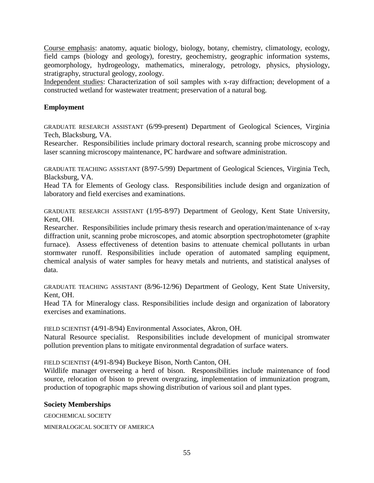Course emphasis: anatomy, aquatic biology, biology, botany, chemistry, climatology, ecology, field camps (biology and geology), forestry, geochemistry, geographic information systems, geomorphology, hydrogeology, mathematics, mineralogy, petrology, physics, physiology, stratigraphy, structural geology, zoology.

Independent studies: Characterization of soil samples with x-ray diffraction; development of a constructed wetland for wastewater treatment; preservation of a natural bog.

## **Employment**

GRADUATE RESEARCH ASSISTANT (6/99-present) Department of Geological Sciences, Virginia Tech, Blacksburg, VA.

Researcher. Responsibilities include primary doctoral research, scanning probe microscopy and laser scanning microscopy maintenance, PC hardware and software administration.

GRADUATE TEACHING ASSISTANT (8/97-5/99) Department of Geological Sciences, Virginia Tech, Blacksburg, VA.

Head TA for Elements of Geology class. Responsibilities include design and organization of laboratory and field exercises and examinations.

GRADUATE RESEARCH ASSISTANT (1/95-8/97) Department of Geology, Kent State University, Kent, OH.

Researcher. Responsibilities include primary thesis research and operation/maintenance of x-ray diffraction unit, scanning probe microscopes, and atomic absorption spectrophotometer (graphite furnace). Assess effectiveness of detention basins to attenuate chemical pollutants in urban stormwater runoff. Responsibilities include operation of automated sampling equipment, chemical analysis of water samples for heavy metals and nutrients, and statistical analyses of data.

GRADUATE TEACHING ASSISTANT (8/96-12/96) Department of Geology, Kent State University, Kent, OH.

Head TA for Mineralogy class. Responsibilities include design and organization of laboratory exercises and examinations.

FIELD SCIENTIST (4/91-8/94) Environmental Associates, Akron, OH.

Natural Resource specialist. Responsibilities include development of municipal stromwater pollution prevention plans to mitigate environmental degradation of surface waters.

FIELD SCIENTIST (4/91-8/94) Buckeye Bison, North Canton, OH.

Wildlife manager overseeing a herd of bison. Responsibilities include maintenance of food source, relocation of bison to prevent overgrazing, implementation of immunization program, production of topographic maps showing distribution of various soil and plant types.

## **Society Memberships**

GEOCHEMICAL SOCIETY MINERALOGICAL SOCIETY OF AMERICA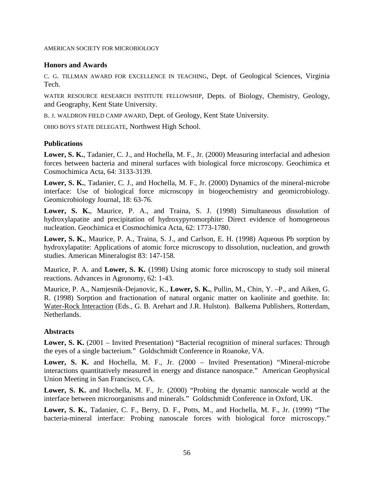#### AMERICAN SOCIETY FOR MICROBIOLOGY

## **Honors and Awards**

C. G. TILLMAN AWARD FOR EXCELLENCE IN TEACHING, Dept. of Geological Sciences, Virginia Tech.

WATER RESOURCE RESEARCH INSTITUTE FELLOWSHIP, Depts. of Biology, Chemistry, Geology, and Geography, Kent State University.

B. J. WALDRON FIELD CAMP AWARD, Dept. of Geology, Kent State University.

OHIO BOYS STATE DELEGATE, Northwest High School.

## **Publications**

**Lower, S. K.**, Tadanier, C. J., and Hochella, M. F., Jr. (2000) Measuring interfacial and adhesion forces between bacteria and mineral surfaces with biological force microscopy. Geochimica et Cosmochimica Acta, 64: 3133-3139.

**Lower, S. K.**, Tadanier, C. J., and Hochella, M. F., Jr. (2000) Dynamics of the mineral-microbe interface: Use of biological force microscopy in biogeochemistry and geomicrobiology. Geomicrobiology Journal, 18: 63-76.

**Lower, S. K.**, Maurice, P. A., and Traina, S. J. (1998) Simultaneous dissolution of hydroxylapatite and precipitation of hydroxypyromorphite: Direct evidence of homogeneous nucleation. Geochimica et Cosmochimica Acta, 62: 1773-1780.

**Lower, S. K.**, Maurice, P. A., Traina, S. J., and Carlson, E. H. (1998) Aqueous Pb sorption by hydroxylapatite: Applications of atomic force microscopy to dissolution, nucleation, and growth studies. American Mineralogist 83: 147-158.

Maurice, P. A. and **Lower, S. K.** (1998) Using atomic force microscopy to study soil mineral reactions. Advances in Agronomy, 62: 1-43.

Maurice, P. A., Namjesnik-Dejanovic, K., **Lower, S. K.**, Pullin, M., Chin, Y. –P., and Aiken, G. R. (1998) Sorption and fractionation of natural organic matter on kaolinite and goethite. In: Water-Rock Interaction (Eds., G. B. Arehart and J.R. Hulston). Balkema Publishers, Rotterdam, Netherlands.

#### **Abstracts**

**Lower, S. K.** (2001 – Invited Presentation) "Bacterial recognition of mineral surfaces: Through the eyes of a single bacterium." Goldschmidt Conference in Roanoke, VA.

**Lower, S. K.** and Hochella, M. F., Jr. (2000 – Invited Presentation) "Mineral-microbe interactions quantitatively measured in energy and distance nanospace." American Geophysical Union Meeting in San Francisco, CA.

**Lower, S. K.** and Hochella, M. F., Jr. (2000) "Probing the dynamic nanoscale world at the interface between microorganisms and minerals." Goldschmidt Conference in Oxford, UK.

**Lower, S. K.**, Tadanier, C. F., Berry, D. F., Potts, M., and Hochella, M. F., Jr. (1999) "The bacteria-mineral interface: Probing nanoscale forces with biological force microscopy."